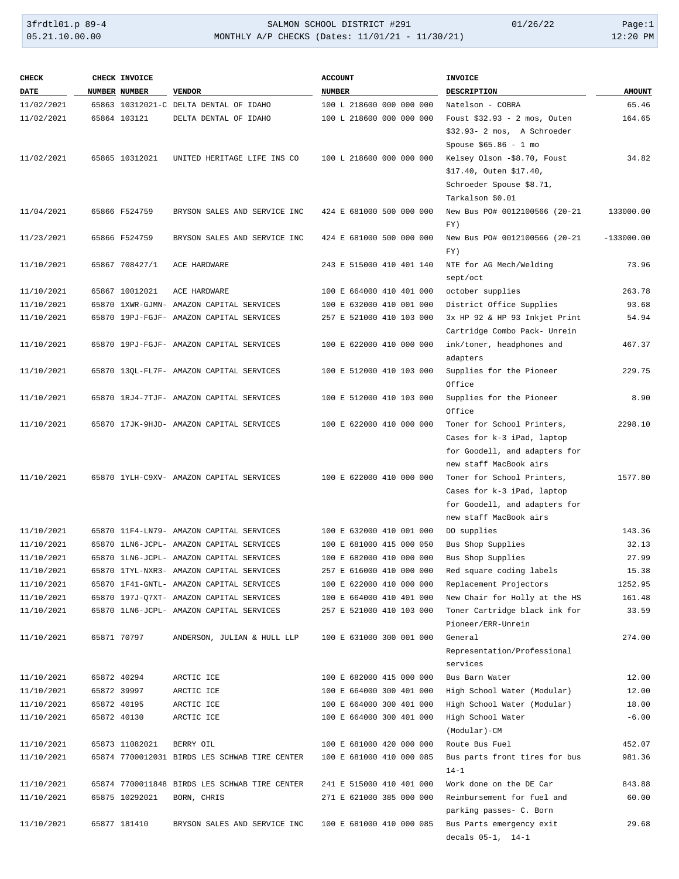| <b>CHECK</b> | CHECK INVOICE  |                                               | <b>ACCOUNT</b>           | <b>INVOICE</b>                                |               |
|--------------|----------------|-----------------------------------------------|--------------------------|-----------------------------------------------|---------------|
| DATE         | NUMBER NUMBER  | <b>VENDOR</b>                                 | NUMBER                   | DESCRIPTION                                   | <b>AMOUNT</b> |
| 11/02/2021   |                | 65863 10312021-C DELTA DENTAL OF IDAHO        | 100 L 218600 000 000 000 | Natelson - COBRA                              | 65.46         |
| 11/02/2021   | 65864 103121   | DELTA DENTAL OF IDAHO                         | 100 L 218600 000 000 000 | Foust $$32.93 - 2$ mos, Outen                 | 164.65        |
|              |                |                                               |                          | \$32.93- 2 mos, A Schroeder                   |               |
|              |                |                                               |                          | Spouse $$65.86 - 1$ mo                        |               |
| 11/02/2021   | 65865 10312021 | UNITED HERITAGE LIFE INS CO                   | 100 L 218600 000 000 000 | Kelsey Olson -\$8.70, Foust                   | 34.82         |
|              |                |                                               |                          | \$17.40, Outen \$17.40,                       |               |
|              |                |                                               |                          | Schroeder Spouse \$8.71,                      |               |
|              |                |                                               |                          | Tarkalson \$0.01                              |               |
| 11/04/2021   | 65866 F524759  | BRYSON SALES AND SERVICE INC                  | 424 E 681000 500 000 000 | New Bus PO# 0012100566 (20-21<br>FY)          | 133000.00     |
| 11/23/2021   | 65866 F524759  | BRYSON SALES AND SERVICE INC                  | 424 E 681000 500 000 000 | New Bus PO# 0012100566 (20-21                 | $-133000.00$  |
|              |                |                                               |                          | FY)                                           |               |
| 11/10/2021   | 65867 708427/1 | ACE HARDWARE                                  | 243 E 515000 410 401 140 | NTE for AG Mech/Welding                       | 73.96         |
|              |                |                                               |                          | sept/oct                                      |               |
| 11/10/2021   | 65867 10012021 | ACE HARDWARE                                  | 100 E 664000 410 401 000 | october supplies                              | 263.78        |
| 11/10/2021   |                | 65870 1XWR-GJMN- AMAZON CAPITAL SERVICES      | 100 E 632000 410 001 000 | District Office Supplies                      | 93.68         |
| 11/10/2021   |                | 65870 19PJ-FGJF- AMAZON CAPITAL SERVICES      | 257 E 521000 410 103 000 | 3x HP 92 & HP 93 Inkjet Print                 | 54.94         |
|              |                |                                               |                          | Cartridge Combo Pack- Unrein                  |               |
| 11/10/2021   |                | 65870 19PJ-FGJF- AMAZON CAPITAL SERVICES      | 100 E 622000 410 000 000 | ink/toner, headphones and                     | 467.37        |
|              |                |                                               |                          | adapters                                      |               |
| 11/10/2021   |                | 65870 13QL-FL7F- AMAZON CAPITAL SERVICES      | 100 E 512000 410 103 000 | Supplies for the Pioneer                      | 229.75        |
|              |                |                                               |                          | Office                                        |               |
| 11/10/2021   |                | 65870 1RJ4-7TJF- AMAZON CAPITAL SERVICES      | 100 E 512000 410 103 000 | Supplies for the Pioneer                      | 8.90          |
|              |                |                                               |                          | Office                                        |               |
| 11/10/2021   |                | 65870 17JK-9HJD- AMAZON CAPITAL SERVICES      | 100 E 622000 410 000 000 | Toner for School Printers,                    | 2298.10       |
|              |                |                                               |                          | Cases for k-3 iPad, laptop                    |               |
|              |                |                                               |                          | for Goodell, and adapters for                 |               |
|              |                |                                               |                          | new staff MacBook airs                        |               |
| 11/10/2021   |                | 65870 1YLH-C9XV- AMAZON CAPITAL SERVICES      | 100 E 622000 410 000 000 | Toner for School Printers,                    | 1577.80       |
|              |                |                                               |                          | Cases for k-3 iPad, laptop                    |               |
|              |                |                                               |                          | for Goodell, and adapters for                 |               |
|              |                |                                               |                          | new staff MacBook airs                        |               |
| 11/10/2021   |                | 65870 11F4-LN79- AMAZON CAPITAL SERVICES      | 100 E 632000 410 001 000 | DO supplies                                   | 143.36        |
| 11/10/2021   |                | 65870 1LN6-JCPL- AMAZON CAPITAL SERVICES      | 100 E 681000 415 000 050 | Bus Shop Supplies                             | 32.13         |
| 11/10/2021   |                | 65870 1LN6-JCPL- AMAZON CAPITAL SERVICES      | 100 E 682000 410 000 000 | Bus Shop Supplies                             | 27.99         |
| 11/10/2021   |                | 65870 1TYL-NXR3- AMAZON CAPITAL SERVICES      | 257 E 616000 410 000 000 | Red square coding labels                      | 15.38         |
| 11/10/2021   |                | 65870 1F41-GNTL- AMAZON CAPITAL SERVICES      | 100 E 622000 410 000 000 | Replacement Projectors                        | 1252.95       |
| 11/10/2021   |                | 65870 197J-Q7XT- AMAZON CAPITAL SERVICES      | 100 E 664000 410 401 000 | New Chair for Holly at the HS                 | 161.48        |
| 11/10/2021   |                | 65870 1LN6-JCPL- AMAZON CAPITAL SERVICES      | 257 E 521000 410 103 000 | Toner Cartridge black ink for                 | 33.59         |
|              |                |                                               |                          | Pioneer/ERR-Unrein                            |               |
| 11/10/2021   | 65871 70797    | ANDERSON, JULIAN & HULL LLP                   | 100 E 631000 300 001 000 | General                                       | 274.00        |
|              |                |                                               |                          | Representation/Professional                   |               |
|              |                |                                               |                          | services                                      |               |
| 11/10/2021   | 65872 40294    | ARCTIC ICE                                    | 100 E 682000 415 000 000 | Bus Barn Water                                | 12.00         |
| 11/10/2021   | 65872 39997    | ARCTIC ICE                                    | 100 E 664000 300 401 000 | High School Water (Modular)                   | 12.00         |
| 11/10/2021   | 65872 40195    | ARCTIC ICE                                    | 100 E 664000 300 401 000 | High School Water (Modular)                   | 18.00         |
| 11/10/2021   | 65872 40130    | ARCTIC ICE                                    | 100 E 664000 300 401 000 | High School Water                             | $-6.00$       |
|              |                |                                               |                          | (Modular)-CM                                  |               |
| 11/10/2021   | 65873 11082021 | BERRY OIL                                     | 100 E 681000 420 000 000 | Route Bus Fuel                                | 452.07        |
| 11/10/2021   |                | 65874 7700012031 BIRDS LES SCHWAB TIRE CENTER | 100 E 681000 410 000 085 | Bus parts front tires for bus                 | 981.36        |
|              |                |                                               |                          | $14 - 1$                                      |               |
| 11/10/2021   |                | 65874 7700011848 BIRDS LES SCHWAB TIRE CENTER | 241 E 515000 410 401 000 | Work done on the DE Car                       | 843.88        |
| 11/10/2021   | 65875 10292021 | BORN, CHRIS                                   | 271 E 621000 385 000 000 | Reimbursement for fuel and                    | 60.00         |
|              |                |                                               | 100 E 681000 410 000 085 | parking passes- C. Born                       | 29.68         |
| 11/10/2021   | 65877 181410   | BRYSON SALES AND SERVICE INC                  |                          | Bus Parts emergency exit<br>decals 05-1, 14-1 |               |
|              |                |                                               |                          |                                               |               |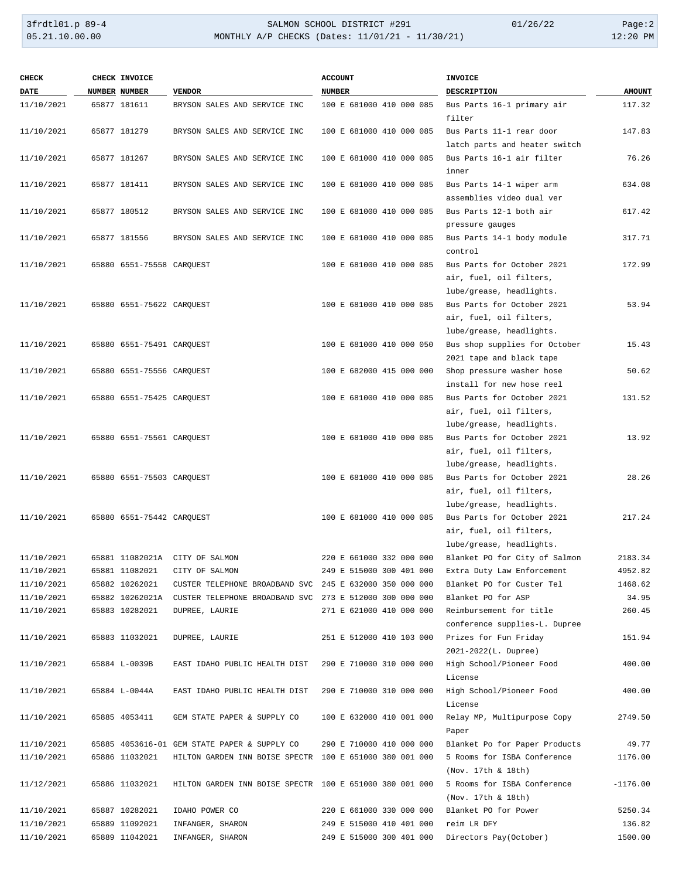| <b>CHECK</b> | CHECK INVOICE                   |                                                                         | <b>ACCOUNT</b>           | INVOICE                                               |               |
|--------------|---------------------------------|-------------------------------------------------------------------------|--------------------------|-------------------------------------------------------|---------------|
| DATE         | NUMBER NUMBER                   | <b>VENDOR</b>                                                           | <b>NUMBER</b>            | <b>DESCRIPTION</b>                                    | <b>AMOUNT</b> |
| 11/10/2021   | 65877 181611                    | BRYSON SALES AND SERVICE INC                                            | 100 E 681000 410 000 085 | Bus Parts 16-1 primary air<br>filter                  | 117.32        |
| 11/10/2021   | 65877 181279                    | BRYSON SALES AND SERVICE INC                                            | 100 E 681000 410 000 085 | Bus Parts 11-1 rear door                              | 147.83        |
|              |                                 |                                                                         |                          | latch parts and heater switch                         |               |
| 11/10/2021   | 65877 181267                    | BRYSON SALES AND SERVICE INC                                            | 100 E 681000 410 000 085 | Bus Parts 16-1 air filter<br>inner                    | 76.26         |
| 11/10/2021   | 65877 181411                    | BRYSON SALES AND SERVICE INC                                            | 100 E 681000 410 000 085 | Bus Parts 14-1 wiper arm                              | 634.08        |
|              |                                 |                                                                         |                          | assemblies video dual ver                             |               |
| 11/10/2021   | 65877 180512                    | BRYSON SALES AND SERVICE INC                                            | 100 E 681000 410 000 085 | Bus Parts 12-1 both air                               | 617.42        |
|              |                                 |                                                                         |                          | pressure gauges                                       |               |
| 11/10/2021   | 65877 181556                    | BRYSON SALES AND SERVICE INC                                            | 100 E 681000 410 000 085 | Bus Parts 14-1 body module<br>control                 | 317.71        |
| 11/10/2021   | 65880  6551-75558  CARQUEST     |                                                                         | 100 E 681000 410 000 085 | Bus Parts for October 2021                            | 172.99        |
|              |                                 |                                                                         |                          | air, fuel, oil filters,                               |               |
|              |                                 |                                                                         |                          | lube/grease, headlights.                              |               |
| 11/10/2021   | 65880    6551-75622    CARQUEST |                                                                         | 100 E 681000 410 000 085 | Bus Parts for October 2021                            | 53.94         |
|              |                                 |                                                                         |                          | air, fuel, oil filters,                               |               |
|              |                                 |                                                                         |                          | lube/grease, headlights.                              |               |
| 11/10/2021   | 65880  6551-75491  CAROUEST     |                                                                         | 100 E 681000 410 000 050 | Bus shop supplies for October                         | 15.43         |
|              |                                 |                                                                         |                          | 2021 tape and black tape                              |               |
| 11/10/2021   | 65880 6551-75556 CARQUEST       |                                                                         | 100 E 682000 415 000 000 | Shop pressure washer hose                             | 50.62         |
|              |                                 |                                                                         |                          | install for new hose reel                             |               |
| 11/10/2021   | 65880    6551-75425    CARQUEST |                                                                         | 100 E 681000 410 000 085 | Bus Parts for October 2021                            | 131.52        |
|              |                                 |                                                                         |                          | air, fuel, oil filters,                               |               |
|              |                                 |                                                                         |                          | lube/grease, headlights.                              |               |
| 11/10/2021   | 65880    6551-75561    CARQUEST |                                                                         | 100 E 681000 410 000 085 | Bus Parts for October 2021                            | 13.92         |
|              |                                 |                                                                         |                          | air, fuel, oil filters,                               |               |
|              |                                 |                                                                         |                          | lube/grease, headlights.                              |               |
| 11/10/2021   | 65880  6551-75503  CARQUEST     |                                                                         | 100 E 681000 410 000 085 | Bus Parts for October 2021<br>air, fuel, oil filters, | 28.26         |
|              |                                 |                                                                         |                          | lube/grease, headlights.                              |               |
| 11/10/2021   | 65880    6551-75442    CARQUEST |                                                                         | 100 E 681000 410 000 085 | Bus Parts for October 2021                            | 217.24        |
|              |                                 |                                                                         |                          | air, fuel, oil filters,                               |               |
|              |                                 |                                                                         |                          | lube/grease, headlights.                              |               |
| 11/10/2021   |                                 | 65881 11082021A CITY OF SALMON                                          | 220 E 661000 332 000 000 | Blanket PO for City of Salmon                         | 2183.34       |
| 11/10/2021   | 65881 11082021                  | CITY OF SALMON                                                          | 249 E 515000 300 401 000 | Extra Duty Law Enforcement                            | 4952.82       |
| 11/10/2021   | 65882 10262021                  | CUSTER TELEPHONE BROADBAND SVC 245 E 632000 350 000 000                 |                          | Blanket PO for Custer Tel                             | 1468.62       |
| 11/10/2021   |                                 | 65882 10262021A CUSTER TELEPHONE BROADBAND SVC 273 E 512000 300 000 000 |                          | Blanket PO for ASP                                    | 34.95         |
| 11/10/2021   | 65883 10282021                  | DUPREE, LAURIE                                                          | 271 E 621000 410 000 000 | Reimbursement for title                               | 260.45        |
|              |                                 |                                                                         |                          | conference supplies-L. Dupree                         |               |
| 11/10/2021   | 65883 11032021                  | DUPREE, LAURIE                                                          | 251 E 512000 410 103 000 | Prizes for Fun Friday                                 | 151.94        |
|              |                                 |                                                                         |                          | 2021-2022(L. Dupree)                                  |               |
| 11/10/2021   | 65884 L-0039B                   | EAST IDAHO PUBLIC HEALTH DIST                                           | 290 E 710000 310 000 000 | High School/Pioneer Food                              | 400.00        |
|              |                                 |                                                                         |                          | License                                               |               |
| 11/10/2021   | 65884 L-0044A                   | EAST IDAHO PUBLIC HEALTH DIST                                           | 290 E 710000 310 000 000 | High School/Pioneer Food                              | 400.00        |
|              |                                 |                                                                         |                          | License                                               |               |
| 11/10/2021   | 65885 4053411                   | GEM STATE PAPER & SUPPLY CO                                             | 100 E 632000 410 001 000 | Relay MP, Multipurpose Copy                           | 2749.50       |
|              |                                 |                                                                         |                          | Paper                                                 |               |
| 11/10/2021   |                                 | 65885 4053616-01 GEM STATE PAPER & SUPPLY CO                            | 290 E 710000 410 000 000 | Blanket Po for Paper Products                         | 49.77         |
| 11/10/2021   | 65886 11032021                  | HILTON GARDEN INN BOISE SPECTR 100 E 651000 380 001 000                 |                          | 5 Rooms for ISBA Conference                           | 1176.00       |
| 11/12/2021   | 65886 11032021                  | HILTON GARDEN INN BOISE SPECTR 100 E 651000 380 001 000                 |                          | (Nov. 17th & 18th)<br>5 Rooms for ISBA Conference     | $-1176.00$    |
|              |                                 |                                                                         |                          | (Nov. 17th & 18th)                                    |               |
| 11/10/2021   | 65887 10282021                  | IDAHO POWER CO                                                          | 220 E 661000 330 000 000 | Blanket PO for Power                                  | 5250.34       |
| 11/10/2021   | 65889 11092021                  | INFANGER, SHARON                                                        | 249 E 515000 410 401 000 | reim LR DFY                                           | 136.82        |
| 11/10/2021   | 65889 11042021                  | INFANGER, SHARON                                                        | 249 E 515000 300 401 000 | Directors Pay(October)                                | 1500.00       |
|              |                                 |                                                                         |                          |                                                       |               |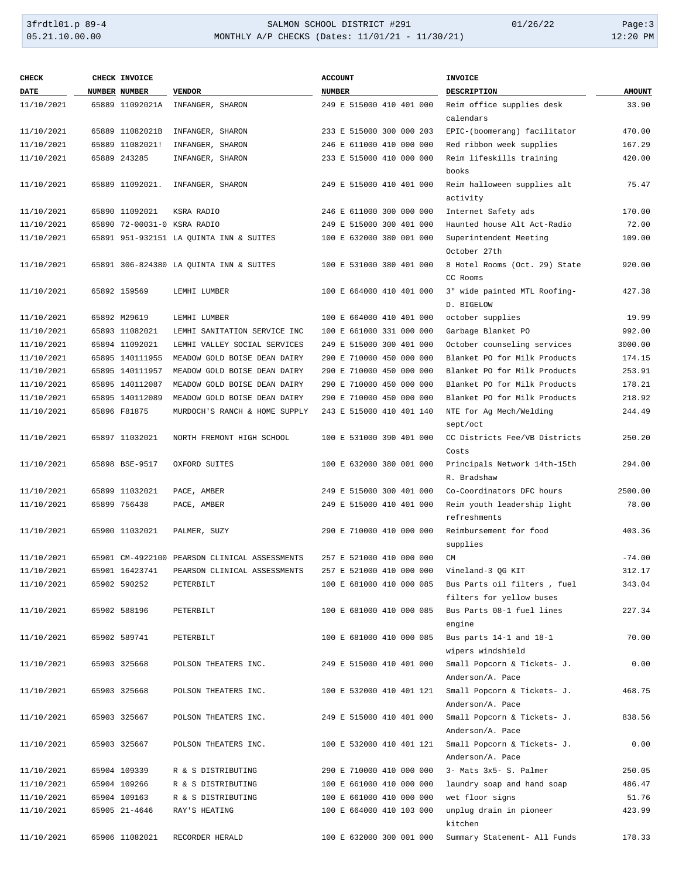## 3frdtl01.p 89-4 <br>
35.21.10.00.00 <br>
35.21.10.00.00 MONTHLY A/P CHECKS (Dates: 11/01/21 - 11/30/21) <br>
36.21.10.00.00 MONTHLY A/P CHECKS (Dates: 11/01/21 - 11/30/21) MONTHLY A/P CHECKS (Dates: 11/01/21 - 11/30/21)

| <b>CHECK</b> | <b>CHECK INVOICE</b>        |                                               | <b>ACCOUNT</b>           | <b>INVOICE</b>                |               |  |
|--------------|-----------------------------|-----------------------------------------------|--------------------------|-------------------------------|---------------|--|
| DATE         | <b>NUMBER NUMBER</b>        | <b>VENDOR</b>                                 | <b>NUMBER</b>            | <b>DESCRIPTION</b>            | <b>AMOUNT</b> |  |
| 11/10/2021   | 65889 11092021A             | INFANGER, SHARON                              | 249 E 515000 410 401 000 | Reim office supplies desk     | 33.90         |  |
|              |                             |                                               |                          | calendars                     |               |  |
| 11/10/2021   | 65889 11082021B             | INFANGER, SHARON                              | 233 E 515000 300 000 203 | EPIC-(boomerang) facilitator  | 470.00        |  |
| 11/10/2021   | 65889 11082021!             | INFANGER, SHARON                              | 246 E 611000 410 000 000 | Red ribbon week supplies      | 167.29        |  |
| 11/10/2021   | 65889 243285                | INFANGER, SHARON                              | 233 E 515000 410 000 000 | Reim lifeskills training      | 420.00        |  |
|              |                             |                                               |                          | books                         |               |  |
| 11/10/2021   | 65889 11092021.             | INFANGER, SHARON                              | 249 E 515000 410 401 000 | Reim halloween supplies alt   | 75.47         |  |
|              |                             |                                               |                          | activity                      |               |  |
| 11/10/2021   | 65890 11092021              | KSRA RADIO                                    | 246 E 611000 300 000 000 | Internet Safety ads           | 170.00        |  |
| 11/10/2021   | 65890 72-00031-0 KSRA RADIO |                                               | 249 E 515000 300 401 000 | Haunted house Alt Act-Radio   | 72.00         |  |
| 11/10/2021   |                             | 65891 951-932151 LA QUINTA INN & SUITES       | 100 E 632000 380 001 000 | Superintendent Meeting        | 109.00        |  |
|              |                             |                                               |                          | October 27th                  |               |  |
| 11/10/2021   |                             | 65891 306-824380 LA QUINTA INN & SUITES       | 100 E 531000 380 401 000 | 8 Hotel Rooms (Oct. 29) State | 920.00        |  |
|              |                             |                                               |                          | CC Rooms                      |               |  |
| 11/10/2021   | 65892 159569                | LEMHI LUMBER                                  | 100 E 664000 410 401 000 | 3" wide painted MTL Roofing-  | 427.38        |  |
|              |                             |                                               |                          | D. BIGELOW                    |               |  |
| 11/10/2021   | 65892 M29619                | LEMHI LUMBER                                  | 100 E 664000 410 401 000 | october supplies              | 19.99         |  |
| 11/10/2021   | 65893 11082021              | LEMHI SANITATION SERVICE INC                  | 100 E 661000 331 000 000 | Garbage Blanket PO            | 992.00        |  |
| 11/10/2021   | 65894 11092021              | LEMHI VALLEY SOCIAL SERVICES                  | 249 E 515000 300 401 000 | October counseling services   | 3000.00       |  |
| 11/10/2021   | 65895 140111955             | MEADOW GOLD BOISE DEAN DAIRY                  | 290 E 710000 450 000 000 | Blanket PO for Milk Products  | 174.15        |  |
| 11/10/2021   | 65895 140111957             | MEADOW GOLD BOISE DEAN DAIRY                  | 290 E 710000 450 000 000 | Blanket PO for Milk Products  | 253.91        |  |
| 11/10/2021   | 65895 140112087             | MEADOW GOLD BOISE DEAN DAIRY                  | 290 E 710000 450 000 000 | Blanket PO for Milk Products  | 178.21        |  |
| 11/10/2021   | 65895 140112089             | MEADOW GOLD BOISE DEAN DAIRY                  | 290 E 710000 450 000 000 | Blanket PO for Milk Products  | 218.92        |  |
| 11/10/2021   | 65896 F81875                | MURDOCH'S RANCH & HOME SUPPLY                 | 243 E 515000 410 401 140 | NTE for Ag Mech/Welding       | 244.49        |  |
|              |                             |                                               |                          | sept/oct                      |               |  |
| 11/10/2021   | 65897 11032021              | NORTH FREMONT HIGH SCHOOL                     | 100 E 531000 390 401 000 | CC Districts Fee/VB Districts | 250.20        |  |
|              |                             |                                               |                          | Costs                         |               |  |
| 11/10/2021   | 65898 BSE-9517              | OXFORD SUITES                                 | 100 E 632000 380 001 000 | Principals Network 14th-15th  | 294.00        |  |
|              |                             |                                               |                          | R. Bradshaw                   |               |  |
| 11/10/2021   | 65899 11032021              | PACE, AMBER                                   | 249 E 515000 300 401 000 | Co-Coordinators DFC hours     | 2500.00       |  |
| 11/10/2021   | 65899 756438                | PACE, AMBER                                   | 249 E 515000 410 401 000 | Reim youth leadership light   | 78.00         |  |
|              |                             |                                               |                          | refreshments                  |               |  |
| 11/10/2021   | 65900 11032021              | PALMER, SUZY                                  | 290 E 710000 410 000 000 | Reimbursement for food        | 403.36        |  |
|              |                             |                                               |                          | supplies                      |               |  |
| 11/10/2021   |                             | 65901 CM-4922100 PEARSON CLINICAL ASSESSMENTS | 257 E 521000 410 000 000 | <b>CM</b>                     | $-74.00$      |  |
| 11/10/2021   | 65901 16423741              | PEARSON CLINICAL ASSESSMENTS                  | 257 E 521000 410 000 000 | Vineland-3 QG KIT             | 312.17        |  |
| 11/10/2021   | 65902 590252                | PETERBILT                                     | 100 E 681000 410 000 085 | Bus Parts oil filters, fuel   | 343.04        |  |
|              |                             |                                               |                          | filters for yellow buses      |               |  |
| 11/10/2021   | 65902 588196                | PETERBILT                                     | 100 E 681000 410 000 085 | Bus Parts 08-1 fuel lines     | 227.34        |  |
|              |                             |                                               |                          | engine                        |               |  |
| 11/10/2021   | 65902 589741                | PETERBILT                                     | 100 E 681000 410 000 085 | Bus parts 14-1 and 18-1       | 70.00         |  |
|              |                             |                                               |                          | wipers windshield             |               |  |
| 11/10/2021   | 65903 325668                | POLSON THEATERS INC.                          | 249 E 515000 410 401 000 | Small Popcorn & Tickets- J.   | 0.00          |  |
|              |                             |                                               |                          | Anderson/A. Pace              |               |  |
| 11/10/2021   | 65903 325668                | POLSON THEATERS INC.                          | 100 E 532000 410 401 121 | Small Popcorn & Tickets- J.   | 468.75        |  |
|              |                             |                                               |                          | Anderson/A. Pace              |               |  |
| 11/10/2021   | 65903 325667                | POLSON THEATERS INC.                          | 249 E 515000 410 401 000 | Small Popcorn & Tickets- J.   | 838.56        |  |
|              |                             |                                               |                          | Anderson/A. Pace              |               |  |
| 11/10/2021   | 65903 325667                | POLSON THEATERS INC.                          | 100 E 532000 410 401 121 | Small Popcorn & Tickets- J.   | 0.00          |  |
|              |                             |                                               |                          | Anderson/A. Pace              |               |  |
| 11/10/2021   | 65904 109339                | R & S DISTRIBUTING                            | 290 E 710000 410 000 000 | 3- Mats 3x5- S. Palmer        | 250.05        |  |
| 11/10/2021   | 65904 109266                | R & S DISTRIBUTING                            | 100 E 661000 410 000 000 | laundry soap and hand soap    | 486.47        |  |
| 11/10/2021   | 65904 109163                | R & S DISTRIBUTING                            | 100 E 661000 410 000 000 | wet floor signs               | 51.76         |  |
| 11/10/2021   | 65905 21-4646               | RAY'S HEATING                                 | 100 E 664000 410 103 000 | unplug drain in pioneer       | 423.99        |  |
|              |                             |                                               |                          | kitchen                       |               |  |
| 11/10/2021   | 65906 11082021              | RECORDER HERALD                               | 100 E 632000 300 001 000 | Summary Statement- All Funds  | 178.33        |  |
|              |                             |                                               |                          |                               |               |  |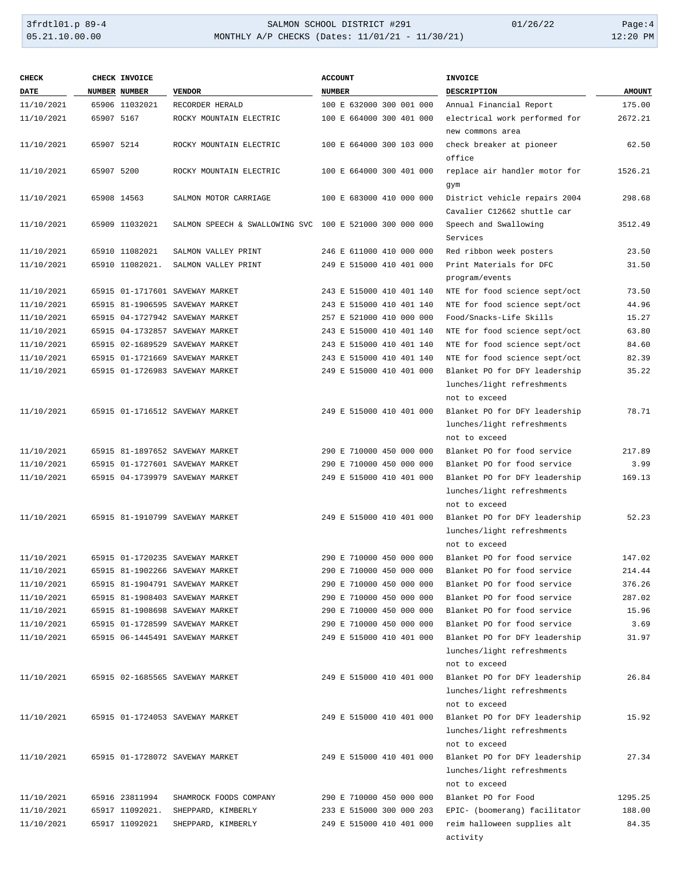| <b>CHECK</b> |            | CHECK INVOICE   |                                                         | <b>ACCOUNT</b>           | <b>INVOICE</b>                |               |
|--------------|------------|-----------------|---------------------------------------------------------|--------------------------|-------------------------------|---------------|
| <b>DATE</b>  |            | NUMBER NUMBER   | <b>VENDOR</b>                                           | <b>NUMBER</b>            | DESCRIPTION                   | <b>AMOUNT</b> |
| 11/10/2021   |            | 65906 11032021  | RECORDER HERALD                                         | 100 E 632000 300 001 000 | Annual Financial Report       | 175.00        |
| 11/10/2021   | 65907 5167 |                 | ROCKY MOUNTAIN ELECTRIC                                 | 100 E 664000 300 401 000 | electrical work performed for | 2672.21       |
|              |            |                 |                                                         |                          | new commons area              |               |
| 11/10/2021   | 65907 5214 |                 | ROCKY MOUNTAIN ELECTRIC                                 | 100 E 664000 300 103 000 | check breaker at pioneer      | 62.50         |
|              |            |                 |                                                         |                          | office                        |               |
| 11/10/2021   | 65907 5200 |                 | ROCKY MOUNTAIN ELECTRIC                                 | 100 E 664000 300 401 000 | replace air handler motor for | 1526.21       |
|              |            |                 |                                                         |                          | gym                           |               |
| 11/10/2021   |            | 65908 14563     | SALMON MOTOR CARRIAGE                                   | 100 E 683000 410 000 000 | District vehicle repairs 2004 | 298.68        |
|              |            |                 |                                                         |                          | Cavalier C12662 shuttle car   |               |
| 11/10/2021   |            | 65909 11032021  | SALMON SPEECH & SWALLOWING SVC 100 E 521000 300 000 000 |                          | Speech and Swallowing         | 3512.49       |
|              |            |                 |                                                         |                          | Services                      |               |
| 11/10/2021   |            | 65910 11082021  | SALMON VALLEY PRINT                                     | 246 E 611000 410 000 000 | Red ribbon week posters       | 23.50         |
| 11/10/2021   |            | 65910 11082021. | SALMON VALLEY PRINT                                     | 249 E 515000 410 401 000 | Print Materials for DFC       | 31.50         |
|              |            |                 |                                                         |                          | program/events                |               |
| 11/10/2021   |            |                 | 65915 01-1717601 SAVEWAY MARKET                         | 243 E 515000 410 401 140 | NTE for food science sept/oct | 73.50         |
| 11/10/2021   |            |                 | 65915 81-1906595 SAVEWAY MARKET                         | 243 E 515000 410 401 140 | NTE for food science sept/oct | 44.96         |
| 11/10/2021   |            |                 | 65915 04-1727942 SAVEWAY MARKET                         | 257 E 521000 410 000 000 | Food/Snacks-Life Skills       | 15.27         |
| 11/10/2021   |            |                 | 65915 04-1732857 SAVEWAY MARKET                         | 243 E 515000 410 401 140 | NTE for food science sept/oct | 63.80         |
| 11/10/2021   |            |                 | 65915 02-1689529 SAVEWAY MARKET                         | 243 E 515000 410 401 140 | NTE for food science sept/oct | 84.60         |
| 11/10/2021   |            |                 | 65915 01-1721669 SAVEWAY MARKET                         | 243 E 515000 410 401 140 | NTE for food science sept/oct | 82.39         |
| 11/10/2021   |            |                 | 65915 01-1726983 SAVEWAY MARKET                         | 249 E 515000 410 401 000 | Blanket PO for DFY leadership | 35.22         |
|              |            |                 |                                                         |                          | lunches/light refreshments    |               |
|              |            |                 |                                                         |                          | not to exceed                 |               |
| 11/10/2021   |            |                 | 65915 01-1716512 SAVEWAY MARKET                         | 249 E 515000 410 401 000 | Blanket PO for DFY leadership | 78.71         |
|              |            |                 |                                                         |                          | lunches/light refreshments    |               |
|              |            |                 |                                                         |                          | not to exceed                 |               |
| 11/10/2021   |            |                 | 65915 81-1897652 SAVEWAY MARKET                         | 290 E 710000 450 000 000 | Blanket PO for food service   | 217.89        |
| 11/10/2021   |            |                 | 65915 01-1727601 SAVEWAY MARKET                         | 290 E 710000 450 000 000 | Blanket PO for food service   | 3.99          |
| 11/10/2021   |            |                 | 65915 04-1739979 SAVEWAY MARKET                         | 249 E 515000 410 401 000 | Blanket PO for DFY leadership | 169.13        |
|              |            |                 |                                                         |                          | lunches/light refreshments    |               |
|              |            |                 |                                                         |                          | not to exceed                 |               |
| 11/10/2021   |            |                 | 65915 81-1910799 SAVEWAY MARKET                         | 249 E 515000 410 401 000 | Blanket PO for DFY leadership | 52.23         |
|              |            |                 |                                                         |                          | lunches/light refreshments    |               |
|              |            |                 |                                                         |                          | not to exceed                 |               |
| 11/10/2021   |            |                 | 65915 01-1720235 SAVEWAY MARKET                         | 290 E 710000 450 000 000 | Blanket PO for food service   | 147.02        |
| 11/10/2021   |            |                 | 65915 81-1902266 SAVEWAY MARKET                         | 290 E 710000 450 000 000 | Blanket PO for food service   | 214.44        |
| 11/10/2021   |            |                 | 65915 81-1904791 SAVEWAY MARKET                         | 290 E 710000 450 000 000 | Blanket PO for food service   | 376.26        |
| 11/10/2021   |            |                 | 65915 81-1908403 SAVEWAY MARKET                         | 290 E 710000 450 000 000 | Blanket PO for food service   | 287.02        |
| 11/10/2021   |            |                 | 65915 81-1908698 SAVEWAY MARKET                         | 290 E 710000 450 000 000 | Blanket PO for food service   | 15.96         |
| 11/10/2021   |            |                 | 65915 01-1728599 SAVEWAY MARKET                         | 290 E 710000 450 000 000 | Blanket PO for food service   | 3.69          |
| 11/10/2021   |            |                 | 65915 06-1445491 SAVEWAY MARKET                         | 249 E 515000 410 401 000 | Blanket PO for DFY leadership | 31.97         |
|              |            |                 |                                                         |                          | lunches/light refreshments    |               |
|              |            |                 |                                                         |                          | not to exceed                 |               |
| 11/10/2021   |            |                 | 65915 02-1685565 SAVEWAY MARKET                         | 249 E 515000 410 401 000 | Blanket PO for DFY leadership | 26.84         |
|              |            |                 |                                                         |                          | lunches/light refreshments    |               |
|              |            |                 |                                                         |                          | not to exceed                 |               |
| 11/10/2021   |            |                 | 65915 01-1724053 SAVEWAY MARKET                         | 249 E 515000 410 401 000 | Blanket PO for DFY leadership | 15.92         |
|              |            |                 |                                                         |                          | lunches/light refreshments    |               |
|              |            |                 |                                                         |                          | not to exceed                 |               |
| 11/10/2021   |            |                 | 65915 01-1728072 SAVEWAY MARKET                         | 249 E 515000 410 401 000 | Blanket PO for DFY leadership | 27.34         |
|              |            |                 |                                                         |                          | lunches/light refreshments    |               |
|              |            |                 |                                                         |                          | not to exceed                 |               |
| 11/10/2021   |            | 65916 23811994  | SHAMROCK FOODS COMPANY                                  | 290 E 710000 450 000 000 | Blanket PO for Food           | 1295.25       |
| 11/10/2021   |            | 65917 11092021. | SHEPPARD, KIMBERLY                                      | 233 E 515000 300 000 203 | EPIC- (boomerang) facilitator | 188.00        |
| 11/10/2021   |            | 65917 11092021  | SHEPPARD, KIMBERLY                                      | 249 E 515000 410 401 000 | reim halloween supplies alt   | 84.35         |
|              |            |                 |                                                         |                          | activity                      |               |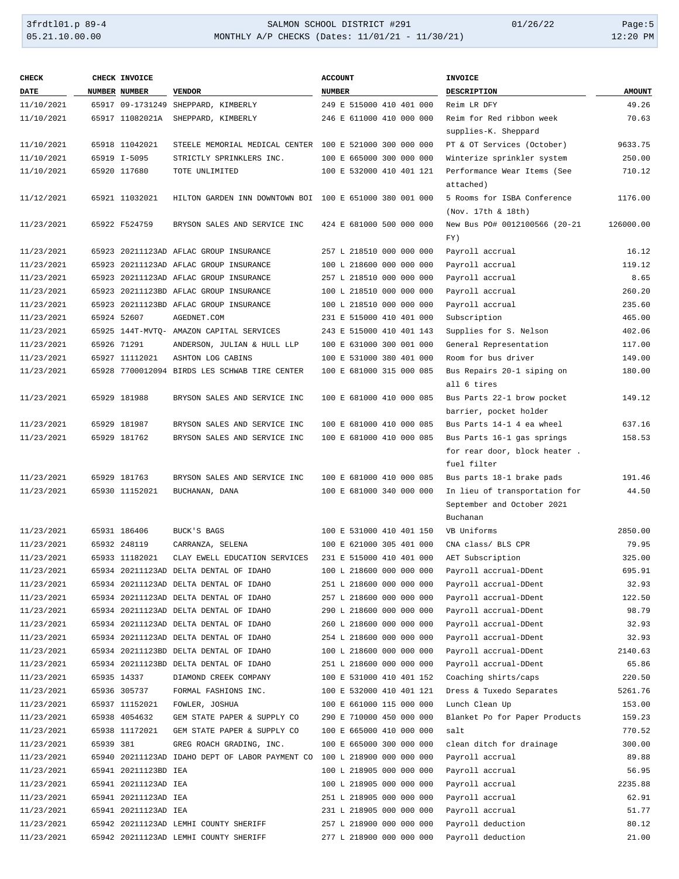| <b>CHECK</b> |           | CHECK INVOICE        |                                                         | <b>ACCOUNT</b>           | <b>INVOICE</b>                |               |
|--------------|-----------|----------------------|---------------------------------------------------------|--------------------------|-------------------------------|---------------|
| <b>DATE</b>  |           | <b>NUMBER NUMBER</b> | <b>VENDOR</b>                                           | <b>NUMBER</b>            | DESCRIPTION                   | <b>AMOUNT</b> |
| 11/10/2021   |           |                      | 65917 09-1731249 SHEPPARD, KIMBERLY                     | 249 E 515000 410 401 000 | Reim LR DFY                   | 49.26         |
| 11/10/2021   |           | 65917 11082021A      | SHEPPARD, KIMBERLY                                      | 246 E 611000 410 000 000 | Reim for Red ribbon week      | 70.63         |
|              |           |                      |                                                         |                          | supplies-K. Sheppard          |               |
| 11/10/2021   |           | 65918 11042021       | STEELE MEMORIAL MEDICAL CENTER 100 E 521000 300 000 000 |                          | PT & OT Services (October)    | 9633.75       |
| 11/10/2021   |           | 65919 I-5095         | STRICTLY SPRINKLERS INC.                                | 100 E 665000 300 000 000 | Winterize sprinkler system    | 250.00        |
| 11/10/2021   |           | 65920 117680         | TOTE UNLIMITED                                          | 100 E 532000 410 401 121 | Performance Wear Items (See   | 710.12        |
|              |           |                      |                                                         |                          | attached)                     |               |
| 11/12/2021   |           | 65921 11032021       | HILTON GARDEN INN DOWNTOWN BOI 100 E 651000 380 001 000 |                          | 5 Rooms for ISBA Conference   | 1176.00       |
|              |           |                      |                                                         |                          | (Nov. 17th & 18th)            |               |
| 11/23/2021   |           | 65922 F524759        | BRYSON SALES AND SERVICE INC                            | 424 E 681000 500 000 000 | New Bus PO# 0012100566 (20-21 | 126000.00     |
|              |           |                      |                                                         |                          | FY)                           |               |
| 11/23/2021   |           |                      | 65923 20211123AD AFLAC GROUP INSURANCE                  | 257 L 218510 000 000 000 | Payroll accrual               | 16.12         |
| 11/23/2021   |           |                      | 65923 20211123AD AFLAC GROUP INSURANCE                  | 100 L 218600 000 000 000 | Payroll accrual               | 119.12        |
| 11/23/2021   |           |                      | 65923 20211123AD AFLAC GROUP INSURANCE                  | 257 L 218510 000 000 000 | Payroll accrual               | 8.65          |
| 11/23/2021   |           |                      | 65923 20211123BD AFLAC GROUP INSURANCE                  | 100 L 218510 000 000 000 | Payroll accrual               | 260.20        |
| 11/23/2021   |           |                      | 65923 20211123BD AFLAC GROUP INSURANCE                  | 100 L 218510 000 000 000 | Payroll accrual               | 235.60        |
| 11/23/2021   |           | 65924 52607          | AGEDNET.COM                                             | 231 E 515000 410 401 000 | Subscription                  | 465.00        |
| 11/23/2021   |           |                      | 65925 144T-MVTQ- AMAZON CAPITAL SERVICES                | 243 E 515000 410 401 143 | Supplies for S. Nelson        | 402.06        |
| 11/23/2021   |           | 65926 71291          | ANDERSON, JULIAN & HULL LLP                             | 100 E 631000 300 001 000 | General Representation        | 117.00        |
| 11/23/2021   |           | 65927 11112021       | ASHTON LOG CABINS                                       | 100 E 531000 380 401 000 | Room for bus driver           | 149.00        |
| 11/23/2021   |           |                      | 65928 7700012094 BIRDS LES SCHWAB TIRE CENTER           | 100 E 681000 315 000 085 | Bus Repairs 20-1 siping on    | 180.00        |
|              |           |                      |                                                         |                          | all 6 tires                   |               |
| 11/23/2021   |           | 65929 181988         | BRYSON SALES AND SERVICE INC                            | 100 E 681000 410 000 085 | Bus Parts 22-1 brow pocket    | 149.12        |
|              |           |                      |                                                         |                          | barrier, pocket holder        |               |
| 11/23/2021   |           | 65929 181987         | BRYSON SALES AND SERVICE INC                            | 100 E 681000 410 000 085 | Bus Parts 14-1 4 ea wheel     | 637.16        |
| 11/23/2021   |           | 65929 181762         | BRYSON SALES AND SERVICE INC                            | 100 E 681000 410 000 085 | Bus Parts 16-1 gas springs    | 158.53        |
|              |           |                      |                                                         |                          | for rear door, block heater.  |               |
|              |           |                      |                                                         |                          | fuel filter                   |               |
| 11/23/2021   |           | 65929 181763         | BRYSON SALES AND SERVICE INC                            | 100 E 681000 410 000 085 | Bus parts 18-1 brake pads     | 191.46        |
| 11/23/2021   |           | 65930 11152021       | BUCHANAN, DANA                                          | 100 E 681000 340 000 000 | In lieu of transportation for | 44.50         |
|              |           |                      |                                                         |                          | September and October 2021    |               |
|              |           |                      |                                                         |                          | Buchanan                      |               |
| 11/23/2021   |           | 65931 186406         | BUCK'S BAGS                                             | 100 E 531000 410 401 150 | VB Uniforms                   | 2850.00       |
| 11/23/2021   |           | 65932 248119         | CARRANZA, SELENA                                        | 100 E 621000 305 401 000 | CNA class/ BLS CPR            | 79.95         |
| 11/23/2021   |           | 65933 11182021       | CLAY EWELL EDUCATION SERVICES                           | 231 E 515000 410 401 000 | AET Subscription              | 325.00        |
| 11/23/2021   |           |                      | 65934 20211123AD DELTA DENTAL OF IDAHO                  | 100 L 218600 000 000 000 | Payroll accrual-DDent         | 695.91        |
| 11/23/2021   |           |                      | 65934 20211123AD DELTA DENTAL OF IDAHO                  | 251 L 218600 000 000 000 | Payroll accrual-DDent         | 32.93         |
| 11/23/2021   |           |                      | 65934 20211123AD DELTA DENTAL OF IDAHO                  | 257 L 218600 000 000 000 | Payroll accrual-DDent         | 122.50        |
| 11/23/2021   |           |                      | 65934 20211123AD DELTA DENTAL OF IDAHO                  | 290 L 218600 000 000 000 | Payroll accrual-DDent         | 98.79         |
| 11/23/2021   |           |                      | 65934 20211123AD DELTA DENTAL OF IDAHO                  | 260 L 218600 000 000 000 | Payroll accrual-DDent         | 32.93         |
| 11/23/2021   |           |                      | 65934 20211123AD DELTA DENTAL OF IDAHO                  | 254 L 218600 000 000 000 | Payroll accrual-DDent         | 32.93         |
| 11/23/2021   |           |                      | 65934 20211123BD DELTA DENTAL OF IDAHO                  | 100 L 218600 000 000 000 | Payroll accrual-DDent         | 2140.63       |
| 11/23/2021   |           |                      | 65934 20211123BD DELTA DENTAL OF IDAHO                  | 251 L 218600 000 000 000 | Payroll accrual-DDent         | 65.86         |
| 11/23/2021   |           | 65935 14337          | DIAMOND CREEK COMPANY                                   | 100 E 531000 410 401 152 | Coaching shirts/caps          | 220.50        |
| 11/23/2021   |           | 65936 305737         | FORMAL FASHIONS INC.                                    | 100 E 532000 410 401 121 | Dress & Tuxedo Separates      | 5261.76       |
| 11/23/2021   |           | 65937 11152021       | FOWLER, JOSHUA                                          | 100 E 661000 115 000 000 | Lunch Clean Up                | 153.00        |
| 11/23/2021   |           | 65938 4054632        | GEM STATE PAPER & SUPPLY CO                             | 290 E 710000 450 000 000 | Blanket Po for Paper Products | 159.23        |
| 11/23/2021   |           | 65938 11172021       | GEM STATE PAPER & SUPPLY CO                             | 100 E 665000 410 000 000 | salt                          | 770.52        |
| 11/23/2021   | 65939 381 |                      | GREG ROACH GRADING, INC.                                | 100 E 665000 300 000 000 | clean ditch for drainage      | 300.00        |
| 11/23/2021   |           |                      | 65940 20211123AD IDAHO DEPT OF LABOR PAYMENT CO         | 100 L 218900 000 000 000 | Payroll accrual               | 89.88         |
| 11/23/2021   |           | 65941 20211123BD IEA |                                                         | 100 L 218905 000 000 000 | Payroll accrual               | 56.95         |
| 11/23/2021   |           | 65941 20211123AD IEA |                                                         | 100 L 218905 000 000 000 | Payroll accrual               | 2235.88       |
| 11/23/2021   |           | 65941 20211123AD IEA |                                                         | 251 L 218905 000 000 000 | Payroll accrual               | 62.91         |
| 11/23/2021   |           | 65941 20211123AD IEA |                                                         | 231 L 218905 000 000 000 | Payroll accrual               | 51.77         |
| 11/23/2021   |           |                      | 65942 20211123AD LEMHI COUNTY SHERIFF                   | 257 L 218900 000 000 000 | Payroll deduction             | 80.12         |
| 11/23/2021   |           |                      | 65942 20211123AD LEMHI COUNTY SHERIFF                   | 277 L 218900 000 000 000 | Payroll deduction             | 21.00         |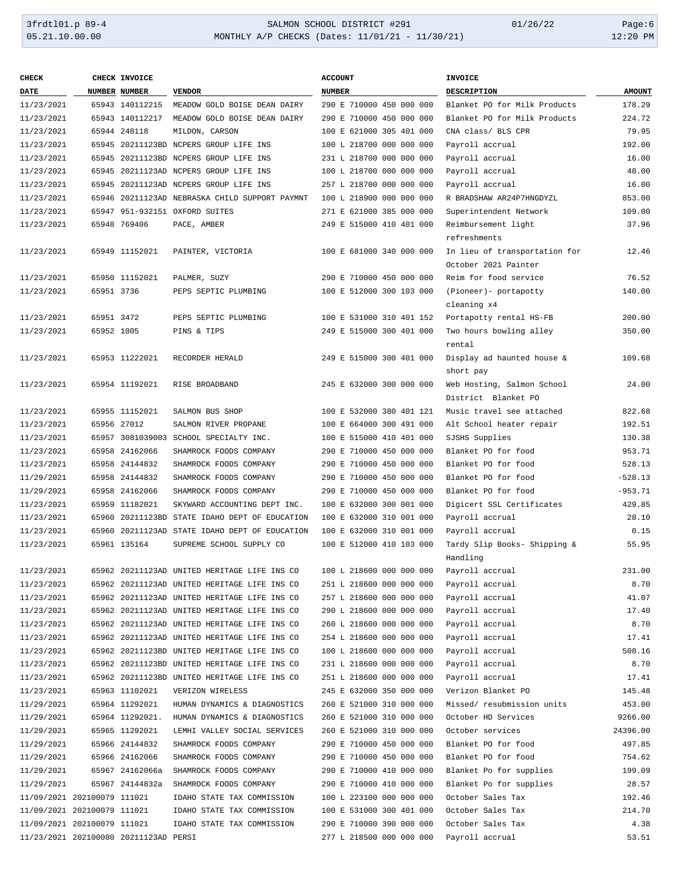| <b>CHECK</b>                |            | CHECK INVOICE                         |                                                | <b>ACCOUNT</b>           | <b>INVOICE</b>                                        |               |
|-----------------------------|------------|---------------------------------------|------------------------------------------------|--------------------------|-------------------------------------------------------|---------------|
| DATE                        |            | NUMBER NUMBER                         | <b>VENDOR</b>                                  | <b>NUMBER</b>            | <b>DESCRIPTION</b>                                    | <b>AMOUNT</b> |
| 11/23/2021                  |            | 65943 140112215                       | MEADOW GOLD BOISE DEAN DAIRY                   | 290 E 710000 450 000 000 | Blanket PO for Milk Products                          | 178.29        |
| 11/23/2021                  |            | 65943 140112217                       | MEADOW GOLD BOISE DEAN DAIRY                   | 290 E 710000 450 000 000 | Blanket PO for Milk Products                          | 224.72        |
| 11/23/2021                  |            | 65944 248118                          | MILDON, CARSON                                 | 100 E 621000 305 401 000 | CNA class/ BLS CPR                                    | 79.95         |
| 11/23/2021                  |            |                                       | 65945 20211123BD NCPERS GROUP LIFE INS         | 100 L 218700 000 000 000 | Payroll accrual                                       | 192.00        |
| 11/23/2021                  |            |                                       | 65945 20211123BD NCPERS GROUP LIFE INS         | 231 L 218700 000 000 000 | Payroll accrual                                       | 16.00         |
| 11/23/2021                  |            |                                       | 65945 20211123AD NCPERS GROUP LIFE INS         | 100 L 218700 000 000 000 | Payroll accrual                                       | 48.00         |
| 11/23/2021                  |            |                                       | 65945 20211123AD NCPERS GROUP LIFE INS         | 257 L 218700 000 000 000 | Payroll accrual                                       | 16.00         |
| 11/23/2021                  |            |                                       | 65946 20211123AD NEBRASKA CHILD SUPPORT PAYMNT | 100 L 218900 000 000 000 | R BRADSHAW AR24P7HNGDYZL                              | 853.00        |
| 11/23/2021                  |            |                                       | 65947 951-932151 OXFORD SUITES                 | 271 E 621000 385 000 000 | Superintendent Network                                | 109.00        |
| 11/23/2021                  |            | 65948 769406                          | PACE, AMBER                                    | 249 E 515000 410 401 000 | Reimbursement light                                   | 37.96         |
|                             |            |                                       |                                                |                          | refreshments                                          |               |
| 11/23/2021                  |            | 65949 11152021                        | PAINTER, VICTORIA                              | 100 E 681000 340 000 000 | In lieu of transportation for<br>October 2021 Painter | 12.46         |
| 11/23/2021                  |            | 65950 11152021                        | PALMER, SUZY                                   | 290 E 710000 450 000 000 | Reim for food service                                 | 76.52         |
| 11/23/2021                  | 65951 3736 |                                       | PEPS SEPTIC PLUMBING                           | 100 E 512000 300 103 000 | (Pioneer)- portapotty                                 | 140.00        |
|                             |            |                                       |                                                |                          | cleaning x4                                           |               |
| 11/23/2021                  | 65951 3472 |                                       | PEPS SEPTIC PLUMBING                           | 100 E 531000 310 401 152 | Portapotty rental HS-FB                               | 200.00        |
| 11/23/2021                  | 65952 1005 |                                       | PINS & TIPS                                    | 249 E 515000 300 401 000 | Two hours bowling alley                               | 350.00        |
|                             |            |                                       |                                                |                          | rental                                                |               |
| 11/23/2021                  |            | 65953 11222021                        | RECORDER HERALD                                | 249 E 515000 300 401 000 | Display ad haunted house &                            | 109.68        |
|                             |            |                                       |                                                |                          | short pay                                             |               |
| 11/23/2021                  |            | 65954 11192021                        | RISE BROADBAND                                 | 245 E 632000 300 000 000 | Web Hosting, Salmon School                            | 24.00         |
|                             |            |                                       |                                                |                          | District Blanket PO                                   |               |
| 11/23/2021                  |            | 65955 11152021                        | SALMON BUS SHOP                                | 100 E 532000 380 401 121 | Music travel see attached                             | 822.68        |
| 11/23/2021                  |            | 65956 27012                           | SALMON RIVER PROPANE                           | 100 E 664000 300 491 000 | Alt School heater repair                              | 192.51        |
| 11/23/2021                  |            |                                       | 65957 3081039003 SCHOOL SPECIALTY INC.         | 100 E 515000 410 401 000 | SJSHS Supplies                                        | 130.38        |
| 11/23/2021                  |            | 65958 24162066                        | SHAMROCK FOODS COMPANY                         | 290 E 710000 450 000 000 | Blanket PO for food                                   | 953.71        |
| 11/23/2021                  |            | 65958 24144832                        | SHAMROCK FOODS COMPANY                         | 290 E 710000 450 000 000 | Blanket PO for food                                   | 528.13        |
| 11/29/2021                  |            | 65958 24144832                        | SHAMROCK FOODS COMPANY                         | 290 E 710000 450 000 000 | Blanket PO for food                                   | $-528.13$     |
| 11/29/2021                  |            | 65958 24162066                        | SHAMROCK FOODS COMPANY                         | 290 E 710000 450 000 000 | Blanket PO for food                                   | $-953.71$     |
| 11/23/2021                  |            | 65959 11182021                        | SKYWARD ACCOUNTING DEPT INC.                   | 100 E 632000 300 001 000 | Digicert SSL Certificates                             | 429.85        |
| 11/23/2021                  |            |                                       | 65960 20211123BD STATE IDAHO DEPT OF EDUCATION | 100 E 632000 310 001 000 | Payroll accrual                                       | 28.10         |
| 11/23/2021                  |            |                                       | 65960 20211123AD STATE IDAHO DEPT OF EDUCATION | 100 E 632000 310 001 000 | Payroll accrual                                       | 0.15          |
| 11/23/2021                  |            | 65961 135164                          | SUPREME SCHOOL SUPPLY CO                       | 100 E 512000 410 103 000 | Tardy Slip Books- Shipping &<br>Handling              | 55.95         |
| 11/23/2021                  |            |                                       | 65962 20211123AD UNITED HERITAGE LIFE INS CO   | 100 L 218600 000 000 000 | Payroll accrual                                       | 231.00        |
| 11/23/2021                  |            |                                       | 65962 20211123AD UNITED HERITAGE LIFE INS CO   | 251 L 218600 000 000 000 | Payroll accrual                                       | 8.70          |
| 11/23/2021                  |            |                                       | 65962 20211123AD UNITED HERITAGE LIFE INS CO   | 257 L 218600 000 000 000 | Payroll accrual                                       | 41.07         |
| 11/23/2021                  |            |                                       | 65962 20211123AD UNITED HERITAGE LIFE INS CO   | 290 L 218600 000 000 000 | Payroll accrual                                       | 17.40         |
| 11/23/2021                  |            |                                       | 65962 20211123AD UNITED HERITAGE LIFE INS CO   | 260 L 218600 000 000 000 | Payroll accrual                                       | 8.70          |
| 11/23/2021                  |            |                                       | 65962 20211123AD UNITED HERITAGE LIFE INS CO   | 254 L 218600 000 000 000 | Payroll accrual                                       | 17.41         |
| 11/23/2021                  |            |                                       | 65962 20211123BD UNITED HERITAGE LIFE INS CO   | 100 L 218600 000 000 000 | Payroll accrual                                       | 508.16        |
| 11/23/2021                  |            |                                       | 65962 20211123BD UNITED HERITAGE LIFE INS CO   | 231 L 218600 000 000 000 | Payroll accrual                                       | 8.70          |
| 11/23/2021                  |            |                                       | 65962 20211123BD UNITED HERITAGE LIFE INS CO   | 251 L 218600 000 000 000 | Payroll accrual                                       | 17.41         |
| 11/23/2021                  |            | 65963 11102021                        | VERIZON WIRELESS                               | 245 E 632000 350 000 000 | Verizon Blanket PO                                    | 145.48        |
| 11/29/2021                  |            | 65964 11292021                        | HUMAN DYNAMICS & DIAGNOSTICS                   | 260 E 521000 310 000 000 | Missed/ resubmission units                            | 453.00        |
| 11/29/2021                  |            | 65964 11292021.                       | HUMAN DYNAMICS & DIAGNOSTICS                   | 260 E 521000 310 000 000 | October HD Services                                   | 9266.00       |
| 11/29/2021                  |            | 65965 11292021                        | LEMHI VALLEY SOCIAL SERVICES                   | 260 E 521000 310 000 000 | October services                                      | 24396.00      |
| 11/29/2021                  |            | 65966 24144832                        | SHAMROCK FOODS COMPANY                         | 290 E 710000 450 000 000 | Blanket PO for food                                   | 497.85        |
| 11/29/2021                  |            | 65966 24162066                        | SHAMROCK FOODS COMPANY                         | 290 E 710000 450 000 000 | Blanket PO for food                                   | 754.62        |
| 11/29/2021                  |            | 65967 24162066a                       | SHAMROCK FOODS COMPANY                         | 290 E 710000 410 000 000 | Blanket Po for supplies                               | 199.09        |
| 11/29/2021                  |            | 65967 24144832a                       | SHAMROCK FOODS COMPANY                         | 290 E 710000 410 000 000 | Blanket Po for supplies                               | 28.57         |
| 11/09/2021 202100079 111021 |            |                                       | IDAHO STATE TAX COMMISSION                     | 100 L 223100 000 000 000 | October Sales Tax                                     | 192.46        |
| 11/09/2021 202100079 111021 |            |                                       | IDAHO STATE TAX COMMISSION                     | 100 E 531000 300 401 000 | October Sales Tax                                     | 214.70        |
| 11/09/2021 202100079 111021 |            |                                       | IDAHO STATE TAX COMMISSION                     | 290 E 710000 390 000 000 | October Sales Tax                                     | 4.38          |
|                             |            | 11/23/2021 202100080 20211123AD PERSI |                                                | 277 L 218500 000 000 000 | Payroll accrual                                       | 53.51         |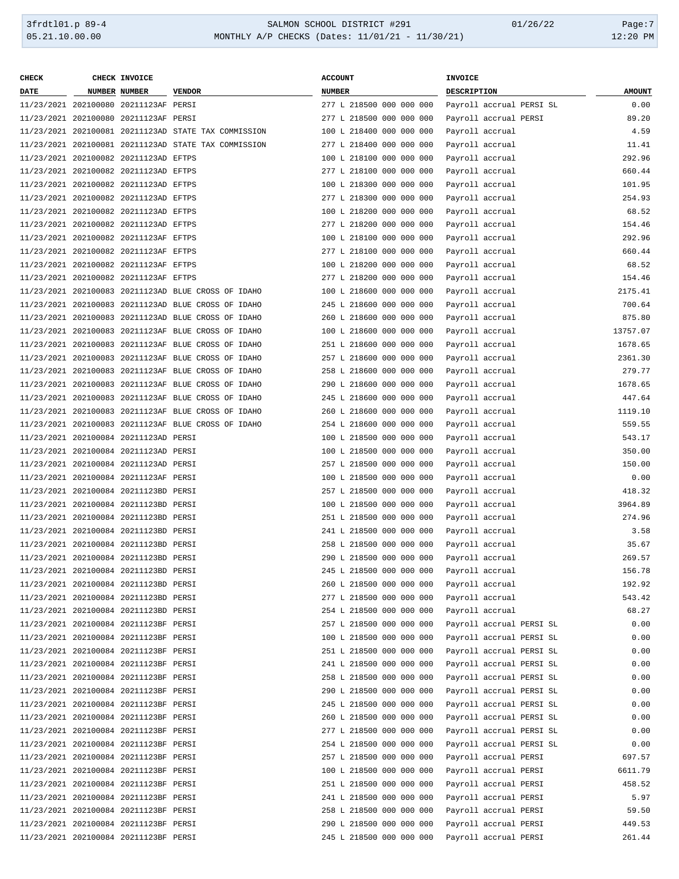| <b>CHECK</b> | CHECK INVOICE                         |                                                      | <b>ACCOUNT</b>           | INVOICE                  |               |
|--------------|---------------------------------------|------------------------------------------------------|--------------------------|--------------------------|---------------|
| <b>DATE</b>  | <b>NUMBER NUMBER</b>                  | <b>VENDOR</b>                                        | <b>NUMBER</b>            | <b>DESCRIPTION</b>       | <b>AMOUNT</b> |
|              | 11/23/2021 202100080 20211123AF PERSI |                                                      | 277 L 218500 000 000 000 | Payroll accrual PERSI SL | 0.00          |
|              | 11/23/2021 202100080 20211123AF PERSI |                                                      | 277 L 218500 000 000 000 | Payroll accrual PERSI    | 89.20         |
|              |                                       | 11/23/2021 202100081 20211123AD STATE TAX COMMISSION | 100 L 218400 000 000 000 | Payroll accrual          | 4.59          |
|              |                                       | 11/23/2021 202100081 20211123AD STATE TAX COMMISSION | 277 L 218400 000 000 000 | Payroll accrual          | 11.41         |
|              | 11/23/2021 202100082 20211123AD EFTPS |                                                      | 100 L 218100 000 000 000 | Payroll accrual          | 292.96        |
|              | 11/23/2021 202100082 20211123AD EFTPS |                                                      | 277 L 218100 000 000 000 | Payroll accrual          | 660.44        |
|              | 11/23/2021 202100082 20211123AD EFTPS |                                                      | 100 L 218300 000 000 000 | Payroll accrual          | 101.95        |
|              | 11/23/2021 202100082 20211123AD EFTPS |                                                      | 277 L 218300 000 000 000 | Payroll accrual          | 254.93        |
|              | 11/23/2021 202100082 20211123AD EFTPS |                                                      | 100 L 218200 000 000 000 | Payroll accrual          | 68.52         |
|              | 11/23/2021 202100082 20211123AD EFTPS |                                                      | 277 L 218200 000 000 000 | Payroll accrual          | 154.46        |
|              | 11/23/2021 202100082 20211123AF EFTPS |                                                      | 100 L 218100 000 000 000 | Payroll accrual          | 292.96        |
|              | 11/23/2021 202100082 20211123AF EFTPS |                                                      | 277 L 218100 000 000 000 | Payroll accrual          | 660.44        |
|              | 11/23/2021 202100082 20211123AF EFTPS |                                                      | 100 L 218200 000 000 000 | Payroll accrual          | 68.52         |
|              | 11/23/2021 202100082 20211123AF EFTPS |                                                      | 277 L 218200 000 000 000 | Payroll accrual          | 154.46        |
|              |                                       | 11/23/2021 202100083 20211123AD BLUE CROSS OF IDAHO  | 100 L 218600 000 000 000 | Payroll accrual          | 2175.41       |
|              |                                       | 11/23/2021 202100083 20211123AD BLUE CROSS OF IDAHO  | 245 L 218600 000 000 000 | Payroll accrual          | 700.64        |
|              |                                       | 11/23/2021 202100083 20211123AD BLUE CROSS OF IDAHO  |                          |                          |               |
|              |                                       |                                                      | 260 L 218600 000 000 000 | Payroll accrual          | 875.80        |
|              |                                       | 11/23/2021 202100083 20211123AF BLUE CROSS OF IDAHO  | 100 L 218600 000 000 000 | Payroll accrual          | 13757.07      |
|              |                                       | 11/23/2021 202100083 20211123AF BLUE CROSS OF IDAHO  | 251 L 218600 000 000 000 | Payroll accrual          | 1678.65       |
|              |                                       | 11/23/2021 202100083 20211123AF BLUE CROSS OF IDAHO  | 257 L 218600 000 000 000 | Payroll accrual          | 2361.30       |
|              |                                       | 11/23/2021 202100083 20211123AF BLUE CROSS OF IDAHO  | 258 L 218600 000 000 000 | Payroll accrual          | 279.77        |
|              |                                       | 11/23/2021 202100083 20211123AF BLUE CROSS OF IDAHO  | 290 L 218600 000 000 000 | Payroll accrual          | 1678.65       |
|              |                                       | 11/23/2021 202100083 20211123AF BLUE CROSS OF IDAHO  | 245 L 218600 000 000 000 | Payroll accrual          | 447.64        |
|              |                                       | 11/23/2021 202100083 20211123AF BLUE CROSS OF IDAHO  | 260 L 218600 000 000 000 | Payroll accrual          | 1119.10       |
|              |                                       | 11/23/2021 202100083 20211123AF BLUE CROSS OF IDAHO  | 254 L 218600 000 000 000 | Payroll accrual          | 559.55        |
|              | 11/23/2021 202100084 20211123AD PERSI |                                                      | 100 L 218500 000 000 000 | Payroll accrual          | 543.17        |
|              | 11/23/2021 202100084 20211123AD PERSI |                                                      | 100 L 218500 000 000 000 | Payroll accrual          | 350.00        |
|              | 11/23/2021 202100084 20211123AD PERSI |                                                      | 257 L 218500 000 000 000 | Payroll accrual          | 150.00        |
|              | 11/23/2021 202100084 20211123AF PERSI |                                                      | 100 L 218500 000 000 000 | Payroll accrual          | 0.00          |
|              | 11/23/2021 202100084 20211123BD PERSI |                                                      | 257 L 218500 000 000 000 | Payroll accrual          | 418.32        |
|              | 11/23/2021 202100084 20211123BD PERSI |                                                      | 100 L 218500 000 000 000 | Payroll accrual          | 3964.89       |
|              | 11/23/2021 202100084 20211123BD PERSI |                                                      | 251 L 218500 000 000 000 | Payroll accrual          | 274.96        |
|              | 11/23/2021 202100084 20211123BD PERSI |                                                      | 241 L 218500 000 000 000 | Payroll accrual          | 3.58          |
|              | 11/23/2021 202100084 20211123BD PERSI |                                                      | 258 L 218500 000 000 000 | Payroll accrual          | 35.67         |
|              | 11/23/2021 202100084 20211123BD PERSI |                                                      | 290 L 218500 000 000 000 | Payroll accrual          | 269.57        |
|              | 11/23/2021 202100084 20211123BD PERSI |                                                      | 245 L 218500 000 000 000 | Payroll accrual          | 156.78        |
|              | 11/23/2021 202100084 20211123BD PERSI |                                                      | 260 L 218500 000 000 000 | Payroll accrual          | 192.92        |
|              | 11/23/2021 202100084 20211123BD PERSI |                                                      | 277 L 218500 000 000 000 | Payroll accrual          | 543.42        |
|              | 11/23/2021 202100084 20211123BD PERSI |                                                      | 254 L 218500 000 000 000 | Payroll accrual          | 68.27         |
|              | 11/23/2021 202100084 20211123BF PERSI |                                                      | 257 L 218500 000 000 000 | Payroll accrual PERSI SL | 0.00          |
|              | 11/23/2021 202100084 20211123BF PERSI |                                                      | 100 L 218500 000 000 000 | Payroll accrual PERSI SL | 0.00          |
|              | 11/23/2021 202100084 20211123BF PERSI |                                                      | 251 L 218500 000 000 000 | Payroll accrual PERSI SL | 0.00          |
|              | 11/23/2021 202100084 20211123BF PERSI |                                                      | 241 L 218500 000 000 000 | Payroll accrual PERSI SL | 0.00          |
|              | 11/23/2021 202100084 20211123BF PERSI |                                                      | 258 L 218500 000 000 000 | Payroll accrual PERSI SL | 0.00          |
|              | 11/23/2021 202100084 20211123BF PERSI |                                                      | 290 L 218500 000 000 000 | Payroll accrual PERSI SL | 0.00          |
|              | 11/23/2021 202100084 20211123BF PERSI |                                                      | 245 L 218500 000 000 000 | Payroll accrual PERSI SL | 0.00          |
|              | 11/23/2021 202100084 20211123BF PERSI |                                                      | 260 L 218500 000 000 000 | Payroll accrual PERSI SL | 0.00          |
|              | 11/23/2021 202100084 20211123BF PERSI |                                                      | 277 L 218500 000 000 000 | Payroll accrual PERSI SL | 0.00          |
|              | 11/23/2021 202100084 20211123BF PERSI |                                                      | 254 L 218500 000 000 000 | Payroll accrual PERSI SL | 0.00          |
|              |                                       |                                                      |                          |                          |               |
|              | 11/23/2021 202100084 20211123BF PERSI |                                                      | 257 L 218500 000 000 000 | Payroll accrual PERSI    | 697.57        |
|              | 11/23/2021 202100084 20211123BF PERSI |                                                      | 100 L 218500 000 000 000 | Payroll accrual PERSI    | 6611.79       |
|              | 11/23/2021 202100084 20211123BF PERSI |                                                      | 251 L 218500 000 000 000 | Payroll accrual PERSI    | 458.52        |
|              | 11/23/2021 202100084 20211123BF PERSI |                                                      | 241 L 218500 000 000 000 | Payroll accrual PERSI    | 5.97          |
|              | 11/23/2021 202100084 20211123BF PERSI |                                                      | 258 L 218500 000 000 000 | Payroll accrual PERSI    | 59.50         |
|              | 11/23/2021 202100084 20211123BF PERSI |                                                      | 290 L 218500 000 000 000 | Payroll accrual PERSI    | 449.53        |
|              | 11/23/2021 202100084 20211123BF PERSI |                                                      | 245 L 218500 000 000 000 | Payroll accrual PERSI    | 261.44        |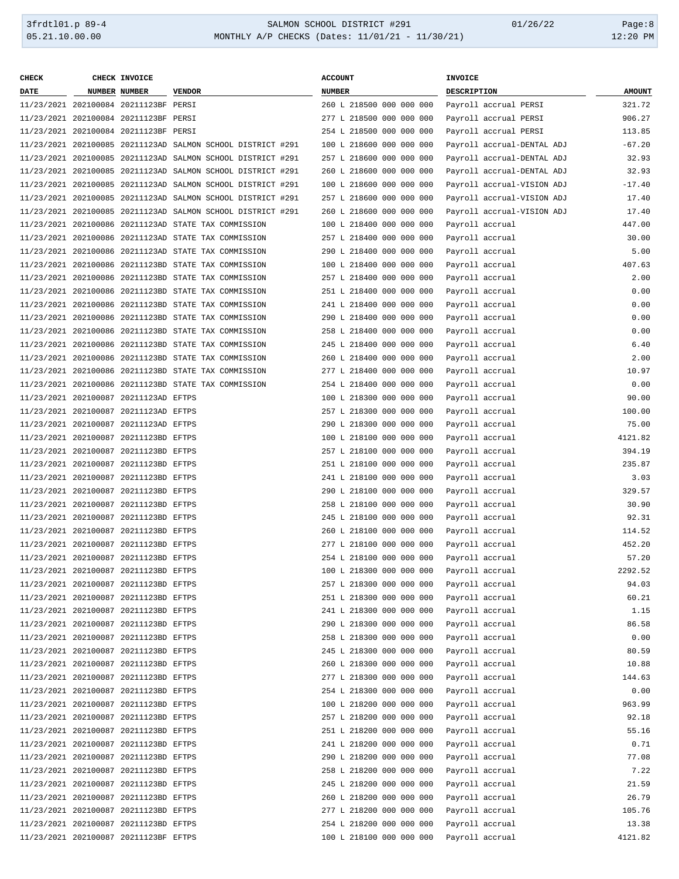| <b>CHECK</b> | CHECK INVOICE                         |                                                             | <b>ACCOUNT</b>           | INVOICE                    |               |
|--------------|---------------------------------------|-------------------------------------------------------------|--------------------------|----------------------------|---------------|
| <b>DATE</b>  | <b>NUMBER NUMBER</b>                  | <b>VENDOR</b>                                               | <b>NUMBER</b>            | DESCRIPTION                | <b>AMOUNT</b> |
|              | 11/23/2021 202100084 20211123BF PERSI |                                                             | 260 L 218500 000 000 000 | Payroll accrual PERSI      | 321.72        |
|              | 11/23/2021 202100084 20211123BF PERSI |                                                             | 277 L 218500 000 000 000 | Payroll accrual PERSI      | 906.27        |
|              | 11/23/2021 202100084 20211123BF PERSI |                                                             | 254 L 218500 000 000 000 | Payroll accrual PERSI      | 113.85        |
|              |                                       | 11/23/2021 202100085 20211123AD SALMON SCHOOL DISTRICT #291 | 100 L 218600 000 000 000 | Payroll accrual-DENTAL ADJ | $-67.20$      |
|              |                                       | 11/23/2021 202100085 20211123AD SALMON SCHOOL DISTRICT #291 | 257 L 218600 000 000 000 | Payroll accrual-DENTAL ADJ | 32.93         |
|              |                                       | 11/23/2021 202100085 20211123AD SALMON SCHOOL DISTRICT #291 | 260 L 218600 000 000 000 | Payroll accrual-DENTAL ADJ | 32.93         |
|              |                                       |                                                             | 100 L 218600 000 000 000 |                            |               |
|              |                                       | 11/23/2021 202100085 20211123AD SALMON SCHOOL DISTRICT #291 |                          | Payroll accrual-VISION ADJ | $-17.40$      |
|              |                                       | 11/23/2021 202100085 20211123AD SALMON SCHOOL DISTRICT #291 | 257 L 218600 000 000 000 | Payroll accrual-VISION ADJ | 17.40         |
|              |                                       | 11/23/2021 202100085 20211123AD SALMON SCHOOL DISTRICT #291 | 260 L 218600 000 000 000 | Payroll accrual-VISION ADJ | 17.40         |
|              |                                       | 11/23/2021 202100086 20211123AD STATE TAX COMMISSION        | 100 L 218400 000 000 000 | Payroll accrual            | 447.00        |
|              |                                       | 11/23/2021 202100086 20211123AD STATE TAX COMMISSION        | 257 L 218400 000 000 000 | Payroll accrual            | 30.00         |
|              |                                       | 11/23/2021 202100086 20211123AD STATE TAX COMMISSION        | 290 L 218400 000 000 000 | Payroll accrual            | 5.00          |
|              |                                       | 11/23/2021 202100086 20211123BD STATE TAX COMMISSION        | 100 L 218400 000 000 000 | Payroll accrual            | 407.63        |
|              |                                       | 11/23/2021 202100086 20211123BD STATE TAX COMMISSION        | 257 L 218400 000 000 000 | Payroll accrual            | 2.00          |
|              |                                       | 11/23/2021 202100086 20211123BD STATE TAX COMMISSION        | 251 L 218400 000 000 000 | Payroll accrual            | 0.00          |
|              |                                       | 11/23/2021 202100086 20211123BD STATE TAX COMMISSION        | 241 L 218400 000 000 000 | Payroll accrual            | 0.00          |
|              |                                       | 11/23/2021 202100086 20211123BD STATE TAX COMMISSION        | 290 L 218400 000 000 000 | Payroll accrual            | 0.00          |
|              |                                       | 11/23/2021 202100086 20211123BD STATE TAX COMMISSION        | 258 L 218400 000 000 000 | Payroll accrual            | 0.00          |
|              |                                       | 11/23/2021 202100086 20211123BD STATE TAX COMMISSION        | 245 L 218400 000 000 000 | Payroll accrual            | 6.40          |
|              |                                       | 11/23/2021 202100086 20211123BD STATE TAX COMMISSION        | 260 L 218400 000 000 000 | Payroll accrual            | 2.00          |
|              |                                       | 11/23/2021 202100086 20211123BD STATE TAX COMMISSION        | 277 L 218400 000 000 000 | Payroll accrual            | 10.97         |
|              |                                       | 11/23/2021 202100086 20211123BD STATE TAX COMMISSION        | 254 L 218400 000 000 000 | Payroll accrual            | 0.00          |
|              | 11/23/2021 202100087 20211123AD EFTPS |                                                             | 100 L 218300 000 000 000 | Payroll accrual            | 90.00         |
|              | 11/23/2021 202100087 20211123AD EFTPS |                                                             | 257 L 218300 000 000 000 | Payroll accrual            | 100.00        |
|              | 11/23/2021 202100087 20211123AD EFTPS |                                                             | 290 L 218300 000 000 000 | Payroll accrual            | 75.00         |
|              | 11/23/2021 202100087 20211123BD EFTPS |                                                             | 100 L 218100 000 000 000 | Payroll accrual            | 4121.82       |
|              | 11/23/2021 202100087 20211123BD EFTPS |                                                             | 257 L 218100 000 000 000 | Payroll accrual            | 394.19        |
|              | 11/23/2021 202100087 20211123BD EFTPS |                                                             | 251 L 218100 000 000 000 | Payroll accrual            | 235.87        |
|              | 11/23/2021 202100087 20211123BD EFTPS |                                                             | 241 L 218100 000 000 000 | Payroll accrual            | 3.03          |
|              | 11/23/2021 202100087 20211123BD EFTPS |                                                             | 290 L 218100 000 000 000 | Payroll accrual            | 329.57        |
|              | 11/23/2021 202100087 20211123BD EFTPS |                                                             | 258 L 218100 000 000 000 | Payroll accrual            | 30.90         |
|              | 11/23/2021 202100087 20211123BD EFTPS |                                                             | 245 L 218100 000 000 000 | Payroll accrual            | 92.31         |
|              | 11/23/2021 202100087 20211123BD EFTPS |                                                             | 260 L 218100 000 000 000 | Payroll accrual            | 114.52        |
|              | 11/23/2021 202100087 20211123BD EFTPS |                                                             | 277 L 218100 000 000 000 | Payroll accrual            | 452.20        |
|              | 11/23/2021 202100087 20211123BD EFTPS |                                                             | 254 L 218100 000 000 000 | Payroll accrual            | 57.20         |
|              | 11/23/2021 202100087 20211123BD EFTPS |                                                             | 100 L 218300 000 000 000 | Payroll accrual            | 2292.52       |
|              | 11/23/2021 202100087 20211123BD EFTPS |                                                             | 257 L 218300 000 000 000 | Payroll accrual            | 94.03         |
|              | 11/23/2021 202100087 20211123BD EFTPS |                                                             | 251 L 218300 000 000 000 | Payroll accrual            | 60.21         |
|              | 11/23/2021 202100087 20211123BD EFTPS |                                                             | 241 L 218300 000 000 000 | Payroll accrual            | 1.15          |
|              | 11/23/2021 202100087 20211123BD EFTPS |                                                             | 290 L 218300 000 000 000 | Payroll accrual            | 86.58         |
|              | 11/23/2021 202100087 20211123BD EFTPS |                                                             | 258 L 218300 000 000 000 |                            |               |
|              |                                       |                                                             |                          | Payroll accrual            | 0.00          |
|              | 11/23/2021 202100087 20211123BD EFTPS |                                                             | 245 L 218300 000 000 000 | Payroll accrual            | 80.59         |
|              | 11/23/2021 202100087 20211123BD EFTPS |                                                             | 260 L 218300 000 000 000 | Payroll accrual            | 10.88         |
|              | 11/23/2021 202100087 20211123BD EFTPS |                                                             | 277 L 218300 000 000 000 | Payroll accrual            | 144.63        |
|              | 11/23/2021 202100087 20211123BD EFTPS |                                                             | 254 L 218300 000 000 000 | Payroll accrual            | 0.00          |
|              | 11/23/2021 202100087 20211123BD EFTPS |                                                             | 100 L 218200 000 000 000 | Payroll accrual            | 963.99        |
|              | 11/23/2021 202100087 20211123BD EFTPS |                                                             | 257 L 218200 000 000 000 | Payroll accrual            | 92.18         |
|              | 11/23/2021 202100087 20211123BD EFTPS |                                                             | 251 L 218200 000 000 000 | Payroll accrual            | 55.16         |
|              | 11/23/2021 202100087 20211123BD EFTPS |                                                             | 241 L 218200 000 000 000 | Payroll accrual            | 0.71          |
|              | 11/23/2021 202100087 20211123BD EFTPS |                                                             | 290 L 218200 000 000 000 | Payroll accrual            | 77.08         |
|              | 11/23/2021 202100087 20211123BD EFTPS |                                                             | 258 L 218200 000 000 000 | Payroll accrual            | 7.22          |
|              | 11/23/2021 202100087 20211123BD EFTPS |                                                             | 245 L 218200 000 000 000 | Payroll accrual            | 21.59         |
|              | 11/23/2021 202100087 20211123BD EFTPS |                                                             | 260 L 218200 000 000 000 | Payroll accrual            | 26.79         |
|              | 11/23/2021 202100087 20211123BD EFTPS |                                                             | 277 L 218200 000 000 000 | Payroll accrual            | 105.76        |
|              | 11/23/2021 202100087 20211123BD EFTPS |                                                             | 254 L 218200 000 000 000 | Payroll accrual            | 13.38         |
|              | 11/23/2021 202100087 20211123BF EFTPS |                                                             | 100 L 218100 000 000 000 | Payroll accrual            | 4121.82       |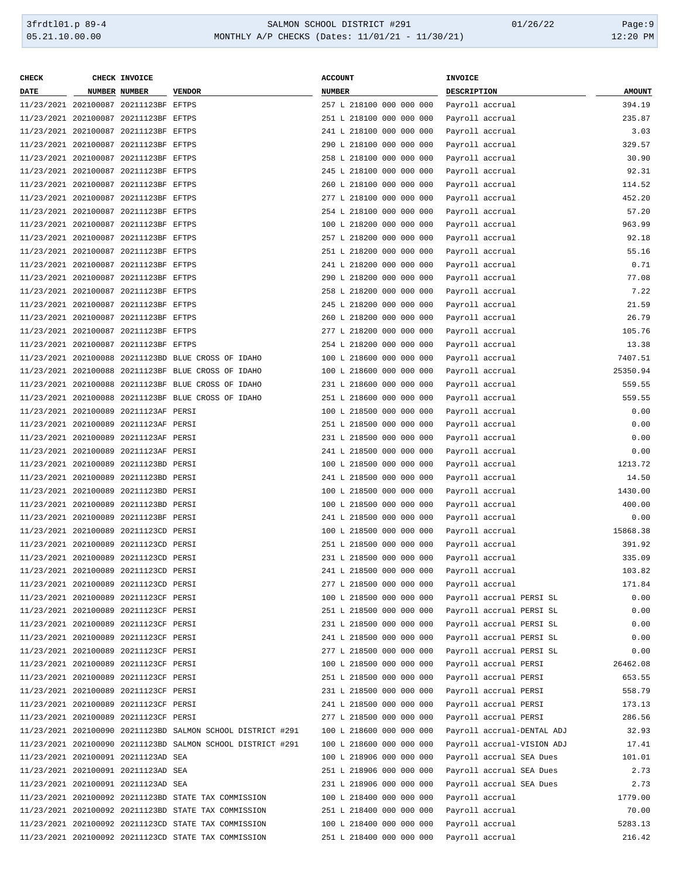| CHECK       | CHECK INVOICE                         |                                                             | <b>ACCOUNT</b>           | INVOICE                    |               |
|-------------|---------------------------------------|-------------------------------------------------------------|--------------------------|----------------------------|---------------|
| <b>DATE</b> | NUMBER NUMBER                         | <b>VENDOR</b>                                               | NUMBER                   | DESCRIPTION                | <b>AMOUNT</b> |
|             | 11/23/2021 202100087 20211123BF EFTPS |                                                             | 257 L 218100 000 000 000 | Payroll accrual            | 394.19        |
|             | 11/23/2021 202100087 20211123BF EFTPS |                                                             | 251 L 218100 000 000 000 | Payroll accrual            | 235.87        |
|             | 11/23/2021 202100087 20211123BF EFTPS |                                                             | 241 L 218100 000 000 000 | Payroll accrual            | 3.03          |
|             | 11/23/2021 202100087 20211123BF EFTPS |                                                             | 290 L 218100 000 000 000 | Payroll accrual            | 329.57        |
|             | 11/23/2021 202100087 20211123BF EFTPS |                                                             | 258 L 218100 000 000 000 | Payroll accrual            | 30.90         |
|             | 11/23/2021 202100087 20211123BF EFTPS |                                                             | 245 L 218100 000 000 000 | Payroll accrual            | 92.31         |
|             | 11/23/2021 202100087 20211123BF EFTPS |                                                             | 260 L 218100 000 000 000 | Payroll accrual            | 114.52        |
|             | 11/23/2021 202100087 20211123BF EFTPS |                                                             | 277 L 218100 000 000 000 | Payroll accrual            | 452.20        |
|             | 11/23/2021 202100087 20211123BF EFTPS |                                                             | 254 L 218100 000 000 000 | Payroll accrual            | 57.20         |
|             | 11/23/2021 202100087 20211123BF EFTPS |                                                             | 100 L 218200 000 000 000 | Payroll accrual            | 963.99        |
|             | 11/23/2021 202100087 20211123BF EFTPS |                                                             | 257 L 218200 000 000 000 | Payroll accrual            | 92.18         |
|             | 11/23/2021 202100087 20211123BF EFTPS |                                                             | 251 L 218200 000 000 000 | Payroll accrual            | 55.16         |
|             | 11/23/2021 202100087 20211123BF EFTPS |                                                             | 241 L 218200 000 000 000 | Payroll accrual            | 0.71          |
|             | 11/23/2021 202100087 20211123BF EFTPS |                                                             | 290 L 218200 000 000 000 | Payroll accrual            | 77.08         |
|             | 11/23/2021 202100087 20211123BF EFTPS |                                                             | 258 L 218200 000 000 000 | Payroll accrual            | 7.22          |
|             | 11/23/2021 202100087 20211123BF EFTPS |                                                             | 245 L 218200 000 000 000 | Payroll accrual            | 21.59         |
|             | 11/23/2021 202100087 20211123BF EFTPS |                                                             | 260 L 218200 000 000 000 | Payroll accrual            | 26.79         |
|             | 11/23/2021 202100087 20211123BF EFTPS |                                                             | 277 L 218200 000 000 000 | Payroll accrual            | 105.76        |
|             | 11/23/2021 202100087 20211123BF EFTPS |                                                             | 254 L 218200 000 000 000 | Payroll accrual            | 13.38         |
|             |                                       | 11/23/2021 202100088 20211123BD BLUE CROSS OF IDAHO         | 100 L 218600 000 000 000 | Payroll accrual            | 7407.51       |
|             |                                       | 11/23/2021 202100088 20211123BF BLUE CROSS OF IDAHO         | 100 L 218600 000 000 000 | Payroll accrual            | 25350.94      |
|             |                                       | 11/23/2021 202100088 20211123BF BLUE CROSS OF IDAHO         | 231 L 218600 000 000 000 | Payroll accrual            | 559.55        |
|             |                                       | 11/23/2021 202100088 20211123BF BLUE CROSS OF IDAHO         | 251 L 218600 000 000 000 | Payroll accrual            | 559.55        |
|             | 11/23/2021 202100089 20211123AF PERSI |                                                             | 100 L 218500 000 000 000 | Payroll accrual            | 0.00          |
|             | 11/23/2021 202100089 20211123AF PERSI |                                                             | 251 L 218500 000 000 000 | Payroll accrual            | 0.00          |
|             | 11/23/2021 202100089 20211123AF PERSI |                                                             | 231 L 218500 000 000 000 | Payroll accrual            | 0.00          |
|             | 11/23/2021 202100089 20211123AF PERSI |                                                             | 241 L 218500 000 000 000 | Payroll accrual            | 0.00          |
|             | 11/23/2021 202100089 20211123BD PERSI |                                                             | 100 L 218500 000 000 000 | Payroll accrual            | 1213.72       |
|             | 11/23/2021 202100089 20211123BD PERSI |                                                             | 241 L 218500 000 000 000 | Payroll accrual            | 14.50         |
|             | 11/23/2021 202100089 20211123BD PERSI |                                                             | 100 L 218500 000 000 000 | Payroll accrual            | 1430.00       |
|             | 11/23/2021 202100089 20211123BD PERSI |                                                             | 100 L 218500 000 000 000 | Payroll accrual            | 400.00        |
|             | 11/23/2021 202100089 20211123BF PERSI |                                                             | 241 L 218500 000 000 000 | Payroll accrual            | 0.00          |
|             | 11/23/2021 202100089 20211123CD PERSI |                                                             | 100 L 218500 000 000 000 | Payroll accrual            | 15868.38      |
|             | 11/23/2021 202100089 20211123CD PERSI |                                                             | 251 L 218500 000 000 000 | Payroll accrual            | 391.92        |
|             | 11/23/2021 202100089 20211123CD PERSI |                                                             | 231 L 218500 000 000 000 | Payroll accrual            | 335.09        |
|             | 11/23/2021 202100089 20211123CD PERSI |                                                             | 241 L 218500 000 000 000 | Payroll accrual            | 103.82        |
|             | 11/23/2021 202100089 20211123CD PERSI |                                                             | 277 L 218500 000 000 000 | Payroll accrual            | 171.84        |
|             | 11/23/2021 202100089 20211123CF PERSI |                                                             | 100 L 218500 000 000 000 | Payroll accrual PERSI SL   | 0.00          |
|             | 11/23/2021 202100089 20211123CF PERSI |                                                             | 251 L 218500 000 000 000 | Payroll accrual PERSI SL   | 0.00          |
|             | 11/23/2021 202100089 20211123CF PERSI |                                                             | 231 L 218500 000 000 000 | Payroll accrual PERSI SL   | 0.00          |
|             | 11/23/2021 202100089 20211123CF PERSI |                                                             | 241 L 218500 000 000 000 | Payroll accrual PERSI SL   | 0.00          |
|             | 11/23/2021 202100089 20211123CF PERSI |                                                             | 277 L 218500 000 000 000 | Payroll accrual PERSI SL   | 0.00          |
|             | 11/23/2021 202100089 20211123CF PERSI |                                                             | 100 L 218500 000 000 000 | Payroll accrual PERSI      | 26462.08      |
|             | 11/23/2021 202100089 20211123CF PERSI |                                                             | 251 L 218500 000 000 000 | Payroll accrual PERSI      | 653.55        |
|             | 11/23/2021 202100089 20211123CF PERSI |                                                             | 231 L 218500 000 000 000 | Payroll accrual PERSI      | 558.79        |
|             | 11/23/2021 202100089 20211123CF PERSI |                                                             | 241 L 218500 000 000 000 | Payroll accrual PERSI      | 173.13        |
|             | 11/23/2021 202100089 20211123CF PERSI |                                                             | 277 L 218500 000 000 000 | Payroll accrual PERSI      | 286.56        |
|             |                                       | 11/23/2021 202100090 20211123BD SALMON SCHOOL DISTRICT #291 | 100 L 218600 000 000 000 | Payroll accrual-DENTAL ADJ | 32.93         |
|             |                                       | 11/23/2021 202100090 20211123BD SALMON SCHOOL DISTRICT #291 | 100 L 218600 000 000 000 | Payroll accrual-VISION ADJ | 17.41         |
|             | 11/23/2021 202100091 20211123AD SEA   |                                                             | 100 L 218906 000 000 000 | Payroll accrual SEA Dues   | 101.01        |
|             | 11/23/2021 202100091 20211123AD SEA   |                                                             | 251 L 218906 000 000 000 | Payroll accrual SEA Dues   | 2.73          |
|             | 11/23/2021 202100091 20211123AD SEA   |                                                             | 231 L 218906 000 000 000 | Payroll accrual SEA Dues   | 2.73          |
|             |                                       | 11/23/2021 202100092 20211123BD STATE TAX COMMISSION        | 100 L 218400 000 000 000 | Payroll accrual            | 1779.00       |
|             |                                       | 11/23/2021 202100092 20211123BD STATE TAX COMMISSION        | 251 L 218400 000 000 000 | Payroll accrual            | 70.00         |
|             |                                       | 11/23/2021 202100092 20211123CD STATE TAX COMMISSION        | 100 L 218400 000 000 000 | Payroll accrual            | 5283.13       |
|             |                                       | 11/23/2021 202100092 20211123CD STATE TAX COMMISSION        | 251 L 218400 000 000 000 | Payroll accrual            | 216.42        |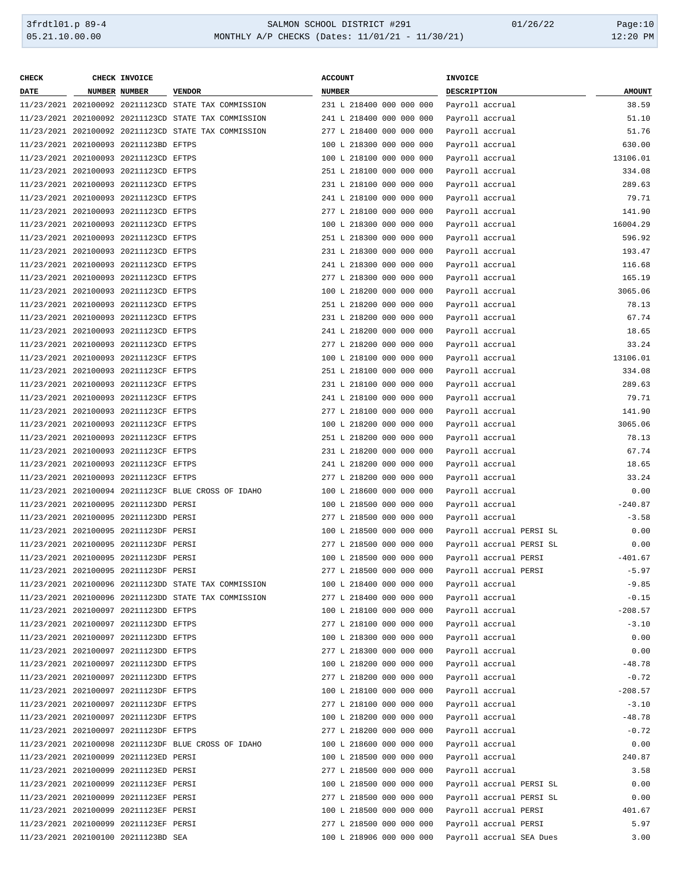| <b>CHECK</b> | CHECK INVOICE                         |                                                      | <b>ACCOUNT</b>                                 |  | INVOICE               |                       |                          |               |
|--------------|---------------------------------------|------------------------------------------------------|------------------------------------------------|--|-----------------------|-----------------------|--------------------------|---------------|
| DATE         | NUMBER NUMBER                         | <b>VENDOR</b>                                        | <b>NUMBER</b>                                  |  | DESCRIPTION           |                       |                          | <b>AMOUNT</b> |
|              |                                       | 11/23/2021 202100092 20211123CD STATE TAX COMMISSION | 231 L 218400 000 000 000                       |  | Payroll accrual       |                       |                          | 38.59         |
|              |                                       | 11/23/2021 202100092 20211123CD STATE TAX COMMISSION | 241 L 218400 000 000 000                       |  |                       | Payroll accrual       |                          | 51.10         |
|              |                                       | 11/23/2021 202100092 20211123CD STATE TAX COMMISSION | 277 L 218400 000 000 000                       |  | Payroll accrual       |                       |                          | 51.76         |
|              | 11/23/2021 202100093 20211123BD EFTPS |                                                      | 100 L 218300 000 000 000                       |  | Payroll accrual       |                       |                          | 630.00        |
|              | 11/23/2021 202100093 20211123CD EFTPS |                                                      | 100 L 218100 000 000 000                       |  | Payroll accrual       |                       |                          | 13106.01      |
|              | 11/23/2021 202100093 20211123CD EFTPS |                                                      | 251 L 218100 000 000 000                       |  | Payroll accrual       |                       |                          | 334.08        |
|              | 11/23/2021 202100093 20211123CD EFTPS |                                                      | 231 L 218100 000 000 000                       |  | Payroll accrual       |                       |                          | 289.63        |
|              | 11/23/2021 202100093 20211123CD EFTPS |                                                      | 241 L 218100 000 000 000                       |  | Payroll accrual       |                       |                          | 79.71         |
|              |                                       |                                                      |                                                |  |                       |                       |                          |               |
|              | 11/23/2021 202100093 20211123CD EFTPS |                                                      | 277 L 218100 000 000 000                       |  | Payroll accrual       |                       |                          | 141.90        |
|              | 11/23/2021 202100093 20211123CD EFTPS |                                                      | 100 L 218300 000 000 000                       |  |                       | Payroll accrual       |                          | 16004.29      |
|              | 11/23/2021 202100093 20211123CD EFTPS |                                                      | 251 L 218300 000 000 000                       |  |                       | Payroll accrual       |                          | 596.92        |
|              | 11/23/2021 202100093 20211123CD EFTPS |                                                      | 231 L 218300 000 000 000                       |  | Payroll accrual       |                       |                          | 193.47        |
|              | 11/23/2021 202100093 20211123CD EFTPS |                                                      | 241 L 218300 000 000 000                       |  |                       | Payroll accrual       |                          | 116.68        |
|              | 11/23/2021 202100093 20211123CD EFTPS |                                                      | 277 L 218300 000 000 000                       |  |                       | Payroll accrual       |                          | 165.19        |
|              | 11/23/2021 202100093 20211123CD EFTPS |                                                      | 100 L 218200 000 000 000                       |  |                       | Payroll accrual       |                          | 3065.06       |
|              | 11/23/2021 202100093 20211123CD EFTPS |                                                      | 251 L 218200 000 000 000                       |  | Payroll accrual       |                       |                          | 78.13         |
|              | 11/23/2021 202100093 20211123CD EFTPS |                                                      | 231 L 218200 000 000 000                       |  | Payroll accrual       |                       |                          | 67.74         |
|              | 11/23/2021 202100093 20211123CD EFTPS |                                                      | 241 L 218200 000 000 000                       |  | Payroll accrual       |                       |                          | 18.65         |
|              | 11/23/2021 202100093 20211123CD EFTPS |                                                      | 277 L 218200 000 000 000                       |  | Payroll accrual       |                       |                          | 33.24         |
|              | 11/23/2021 202100093 20211123CF EFTPS |                                                      | 100 L 218100 000 000 000                       |  | Payroll accrual       |                       |                          | 13106.01      |
|              | 11/23/2021 202100093 20211123CF EFTPS |                                                      | 251 L 218100 000 000 000                       |  | Payroll accrual       |                       |                          | 334.08        |
|              | 11/23/2021 202100093 20211123CF EFTPS |                                                      | 231 L 218100 000 000 000                       |  | Payroll accrual       |                       |                          | 289.63        |
|              | 11/23/2021 202100093 20211123CF EFTPS |                                                      | 241 L 218100 000 000 000                       |  | Payroll accrual       |                       |                          | 79.71         |
|              | 11/23/2021 202100093 20211123CF EFTPS |                                                      | 277 L 218100 000 000 000                       |  | Payroll accrual       |                       |                          | 141.90        |
|              | 11/23/2021 202100093 20211123CF EFTPS |                                                      | 100 L 218200 000 000 000                       |  | Payroll accrual       |                       |                          | 3065.06       |
|              | 11/23/2021 202100093 20211123CF EFTPS |                                                      | 251 L 218200 000 000 000                       |  | Payroll accrual       |                       |                          | 78.13         |
|              | 11/23/2021 202100093 20211123CF EFTPS |                                                      | 231 L 218200 000 000 000                       |  | Payroll accrual       |                       |                          | 67.74         |
|              | 11/23/2021 202100093 20211123CF EFTPS |                                                      | 241 L 218200 000 000 000                       |  | Payroll accrual       |                       |                          | 18.65         |
|              | 11/23/2021 202100093 20211123CF EFTPS |                                                      | 277 L 218200 000 000 000                       |  | Payroll accrual       |                       |                          | 33.24         |
|              |                                       | 11/23/2021 202100094 20211123CF BLUE CROSS OF IDAHO  | 100 L 218600 000 000 000                       |  | Payroll accrual       |                       |                          | 0.00          |
|              | 11/23/2021 202100095 20211123DD PERSI |                                                      | 100 L 218500 000 000 000                       |  | Payroll accrual       |                       |                          | $-240.87$     |
|              | 11/23/2021 202100095 20211123DD PERSI |                                                      | 277 L 218500 000 000 000                       |  | Payroll accrual       |                       |                          | $-3.58$       |
|              | 11/23/2021 202100095 20211123DF PERSI |                                                      | 100 L 218500 000 000 000                       |  |                       |                       | Payroll accrual PERSI SL | 0.00          |
|              | 11/23/2021 202100095 20211123DF PERSI |                                                      | 277 L 218500 000 000 000                       |  |                       |                       | Payroll accrual PERSI SL | 0.00          |
|              | 11/23/2021 202100095 20211123DF PERSI |                                                      | 100 L 218500 000 000 000                       |  | Payroll accrual PERSI |                       |                          | $-401.67$     |
|              | 11/23/2021 202100095 20211123DF PERSI |                                                      | 277 L 218500 000 000 000 Payroll accrual PERSI |  |                       |                       |                          | $-5.97$       |
|              |                                       | 11/23/2021 202100096 20211123DD STATE TAX COMMISSION | 100 L 218400 000 000 000                       |  | Payroll accrual       |                       |                          | $-9.85$       |
|              |                                       | 11/23/2021 202100096 20211123DD STATE TAX COMMISSION | 277 L 218400 000 000 000                       |  | Payroll accrual       |                       |                          | $-0.15$       |
|              | 11/23/2021 202100097 20211123DD EFTPS |                                                      | 100 L 218100 000 000 000                       |  | Payroll accrual       |                       |                          | $-208.57$     |
|              | 11/23/2021 202100097 20211123DD EFTPS |                                                      | 277 L 218100 000 000 000                       |  | Payroll accrual       |                       |                          | $-3.10$       |
|              | 11/23/2021 202100097 20211123DD EFTPS |                                                      | 100 L 218300 000 000 000                       |  | Payroll accrual       |                       |                          | 0.00          |
|              | 11/23/2021 202100097 20211123DD EFTPS |                                                      | 277 L 218300 000 000 000                       |  | Payroll accrual       |                       |                          | 0.00          |
|              |                                       |                                                      | 100 L 218200 000 000 000                       |  |                       |                       |                          |               |
|              | 11/23/2021 202100097 20211123DD EFTPS |                                                      |                                                |  | Payroll accrual       |                       |                          | $-48.78$      |
|              | 11/23/2021 202100097 20211123DD EFTPS |                                                      | 277 L 218200 000 000 000                       |  | Payroll accrual       |                       |                          | $-0.72$       |
|              | 11/23/2021 202100097 20211123DF EFTPS |                                                      | 100 L 218100 000 000 000                       |  | Payroll accrual       |                       |                          | $-208.57$     |
|              | 11/23/2021 202100097 20211123DF EFTPS |                                                      | 277 L 218100 000 000 000                       |  | Payroll accrual       |                       |                          | $-3.10$       |
|              | 11/23/2021 202100097 20211123DF EFTPS |                                                      | 100 L 218200 000 000 000                       |  | Payroll accrual       |                       |                          | $-48.78$      |
|              | 11/23/2021 202100097 20211123DF EFTPS |                                                      | 277 L 218200 000 000 000                       |  | Payroll accrual       |                       |                          | $-0.72$       |
|              |                                       | 11/23/2021 202100098 20211123DF BLUE CROSS OF IDAHO  | 100 L 218600 000 000 000                       |  | Payroll accrual       |                       |                          | 0.00          |
|              | 11/23/2021 202100099 20211123ED PERSI |                                                      | 100 L 218500 000 000 000                       |  | Payroll accrual       |                       |                          | 240.87        |
|              | 11/23/2021 202100099 20211123ED PERSI |                                                      | 277 L 218500 000 000 000                       |  | Payroll accrual       |                       |                          | 3.58          |
|              | 11/23/2021 202100099 20211123EF PERSI |                                                      | 100 L 218500 000 000 000                       |  |                       |                       | Payroll accrual PERSI SL | 0.00          |
|              | 11/23/2021 202100099 20211123EF PERSI |                                                      | 277 L 218500 000 000 000                       |  |                       |                       | Payroll accrual PERSI SL | 0.00          |
|              | 11/23/2021 202100099 20211123EF PERSI |                                                      | 100 L 218500 000 000 000                       |  |                       | Payroll accrual PERSI |                          | 401.67        |
|              | 11/23/2021 202100099 20211123EF PERSI |                                                      | 277 L 218500 000 000 000                       |  |                       | Payroll accrual PERSI |                          | 5.97          |
|              | 11/23/2021 202100100 20211123BD SEA   |                                                      | 100 L 218906 000 000 000                       |  |                       |                       | Payroll accrual SEA Dues | 3.00          |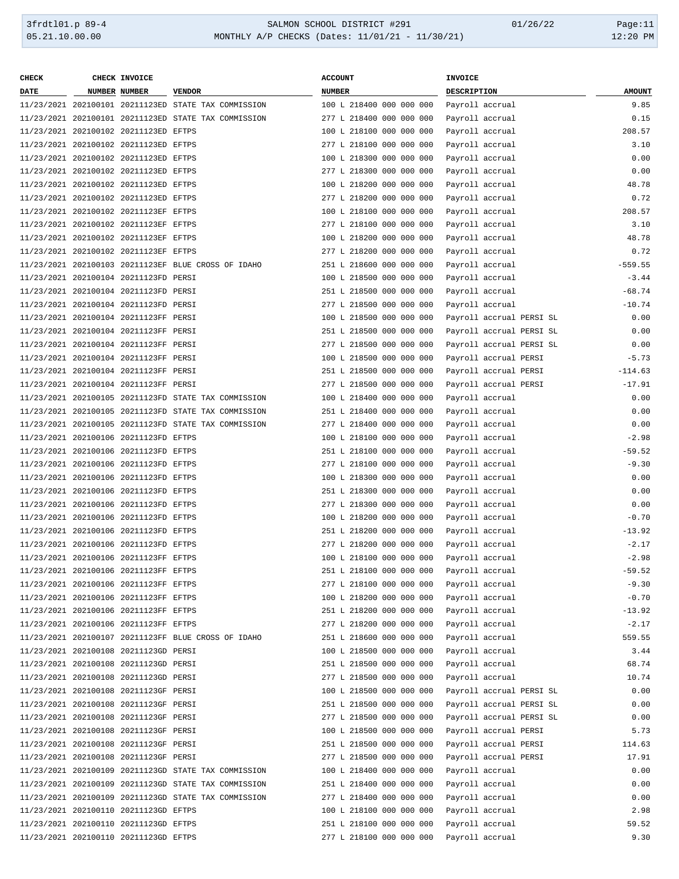| <b>CHECK</b> | CHECK INVOICE                         |                                                      | <b>ACCOUNT</b>           | INVOICE                  |               |
|--------------|---------------------------------------|------------------------------------------------------|--------------------------|--------------------------|---------------|
| <b>DATE</b>  | NUMBER NUMBER                         | <b>VENDOR</b>                                        | <b>NUMBER</b>            | DESCRIPTION              | <b>AMOUNT</b> |
|              |                                       | 11/23/2021 202100101 20211123ED STATE TAX COMMISSION | 100 L 218400 000 000 000 | Payroll accrual          | 9.85          |
|              |                                       | 11/23/2021 202100101 20211123ED STATE TAX COMMISSION | 277 L 218400 000 000 000 | Payroll accrual          | 0.15          |
|              | 11/23/2021 202100102 20211123ED EFTPS |                                                      | 100 L 218100 000 000 000 | Payroll accrual          | 208.57        |
|              | 11/23/2021 202100102 20211123ED EFTPS |                                                      | 277 L 218100 000 000 000 | Payroll accrual          | 3.10          |
|              | 11/23/2021 202100102 20211123ED EFTPS |                                                      | 100 L 218300 000 000 000 | Payroll accrual          | 0.00          |
|              | 11/23/2021 202100102 20211123ED EFTPS |                                                      | 277 L 218300 000 000 000 | Payroll accrual          | 0.00          |
|              | 11/23/2021 202100102 20211123ED EFTPS |                                                      | 100 L 218200 000 000 000 | Payroll accrual          | 48.78         |
|              | 11/23/2021 202100102 20211123ED EFTPS |                                                      | 277 L 218200 000 000 000 | Payroll accrual          | 0.72          |
|              | 11/23/2021 202100102 20211123EF EFTPS |                                                      | 100 L 218100 000 000 000 | Payroll accrual          | 208.57        |
|              |                                       |                                                      |                          |                          |               |
|              | 11/23/2021 202100102 20211123EF EFTPS |                                                      | 277 L 218100 000 000 000 | Payroll accrual          | 3.10          |
|              | 11/23/2021 202100102 20211123EF EFTPS |                                                      | 100 L 218200 000 000 000 | Payroll accrual          | 48.78         |
|              | 11/23/2021 202100102 20211123EF EFTPS |                                                      | 277 L 218200 000 000 000 | Payroll accrual          | 0.72          |
|              |                                       | 11/23/2021 202100103 20211123EF BLUE CROSS OF IDAHO  | 251 L 218600 000 000 000 | Payroll accrual          | $-559.55$     |
|              | 11/23/2021 202100104 20211123FD PERSI |                                                      | 100 L 218500 000 000 000 | Payroll accrual          | $-3.44$       |
|              | 11/23/2021 202100104 20211123FD PERSI |                                                      | 251 L 218500 000 000 000 | Payroll accrual          | $-68.74$      |
|              | 11/23/2021 202100104 20211123FD PERSI |                                                      | 277 L 218500 000 000 000 | Payroll accrual          | $-10.74$      |
|              | 11/23/2021 202100104 20211123FF PERSI |                                                      | 100 L 218500 000 000 000 | Payroll accrual PERSI SL | 0.00          |
|              | 11/23/2021 202100104 20211123FF PERSI |                                                      | 251 L 218500 000 000 000 | Payroll accrual PERSI SL | 0.00          |
|              | 11/23/2021 202100104 20211123FF PERSI |                                                      | 277 L 218500 000 000 000 | Payroll accrual PERSI SL | 0.00          |
|              | 11/23/2021 202100104 20211123FF PERSI |                                                      | 100 L 218500 000 000 000 | Payroll accrual PERSI    | $-5.73$       |
|              | 11/23/2021 202100104 20211123FF PERSI |                                                      | 251 L 218500 000 000 000 | Payroll accrual PERSI    | $-114.63$     |
|              | 11/23/2021 202100104 20211123FF PERSI |                                                      | 277 L 218500 000 000 000 | Payroll accrual PERSI    | $-17.91$      |
|              |                                       | 11/23/2021 202100105 20211123FD STATE TAX COMMISSION | 100 L 218400 000 000 000 | Payroll accrual          | 0.00          |
|              |                                       | 11/23/2021 202100105 20211123FD STATE TAX COMMISSION | 251 L 218400 000 000 000 | Payroll accrual          | 0.00          |
|              |                                       | 11/23/2021 202100105 20211123FD STATE TAX COMMISSION | 277 L 218400 000 000 000 | Payroll accrual          | 0.00          |
|              | 11/23/2021 202100106 20211123FD EFTPS |                                                      | 100 L 218100 000 000 000 | Payroll accrual          | $-2.98$       |
|              | 11/23/2021 202100106 20211123FD EFTPS |                                                      | 251 L 218100 000 000 000 | Payroll accrual          | $-59.52$      |
|              | 11/23/2021 202100106 20211123FD EFTPS |                                                      | 277 L 218100 000 000 000 | Payroll accrual          | $-9.30$       |
|              | 11/23/2021 202100106 20211123FD EFTPS |                                                      | 100 L 218300 000 000 000 | Payroll accrual          | 0.00          |
|              | 11/23/2021 202100106 20211123FD EFTPS |                                                      | 251 L 218300 000 000 000 | Payroll accrual          | 0.00          |
|              | 11/23/2021 202100106 20211123FD EFTPS |                                                      | 277 L 218300 000 000 000 | Payroll accrual          | 0.00          |
|              | 11/23/2021 202100106 20211123FD EFTPS |                                                      | 100 L 218200 000 000 000 | Payroll accrual          | $-0.70$       |
|              | 11/23/2021 202100106 20211123FD EFTPS |                                                      | 251 L 218200 000 000 000 | Payroll accrual          | $-13.92$      |
|              | 11/23/2021 202100106 20211123FD EFTPS |                                                      | 277 L 218200 000 000 000 | Payroll accrual          | $-2.17$       |
|              | 11/23/2021 202100106 20211123FF EFTPS |                                                      | 100 L 218100 000 000 000 | Payroll accrual          | $-2.98$       |
|              | 11/23/2021 202100106 20211123FF EFTPS |                                                      | 251 L 218100 000 000 000 | Payroll accrual          | $-59.52$      |
|              | 11/23/2021 202100106 20211123FF EFTPS |                                                      | 277 L 218100 000 000 000 | Payroll accrual          | $-9.30$       |
|              | 11/23/2021 202100106 20211123FF EFTPS |                                                      | 100 L 218200 000 000 000 | Payroll accrual          | $-0.70$       |
|              | 11/23/2021 202100106 20211123FF EFTPS |                                                      | 251 L 218200 000 000 000 | Payroll accrual          | $-13.92$      |
|              | 11/23/2021 202100106 20211123FF EFTPS |                                                      | 277 L 218200 000 000 000 | Payroll accrual          | $-2.17$       |
|              |                                       | 11/23/2021 202100107 20211123FF BLUE CROSS OF IDAHO  | 251 L 218600 000 000 000 | Payroll accrual          | 559.55        |
|              | 11/23/2021 202100108 20211123GD PERSI |                                                      | 100 L 218500 000 000 000 | Payroll accrual          | 3.44          |
|              | 11/23/2021 202100108 20211123GD PERSI |                                                      | 251 L 218500 000 000 000 | Payroll accrual          | 68.74         |
|              | 11/23/2021 202100108 20211123GD PERSI |                                                      | 277 L 218500 000 000 000 | Payroll accrual          | 10.74         |
|              | 11/23/2021 202100108 20211123GF PERSI |                                                      | 100 L 218500 000 000 000 | Payroll accrual PERSI SL | 0.00          |
|              | 11/23/2021 202100108 20211123GF PERSI |                                                      | 251 L 218500 000 000 000 | Payroll accrual PERSI SL | 0.00          |
|              | 11/23/2021 202100108 20211123GF PERSI |                                                      | 277 L 218500 000 000 000 |                          |               |
|              |                                       |                                                      |                          | Payroll accrual PERSI SL | 0.00          |
|              | 11/23/2021 202100108 20211123GF PERSI |                                                      | 100 L 218500 000 000 000 | Payroll accrual PERSI    | 5.73          |
|              | 11/23/2021 202100108 20211123GF PERSI |                                                      | 251 L 218500 000 000 000 | Payroll accrual PERSI    | 114.63        |
|              | 11/23/2021 202100108 20211123GF PERSI |                                                      | 277 L 218500 000 000 000 | Payroll accrual PERSI    | 17.91         |
|              |                                       | 11/23/2021 202100109 20211123GD STATE TAX COMMISSION | 100 L 218400 000 000 000 | Payroll accrual          | 0.00          |
|              |                                       | 11/23/2021 202100109 20211123GD STATE TAX COMMISSION | 251 L 218400 000 000 000 | Payroll accrual          | 0.00          |
|              |                                       | 11/23/2021 202100109 20211123GD STATE TAX COMMISSION | 277 L 218400 000 000 000 | Payroll accrual          | 0.00          |
|              | 11/23/2021 202100110 20211123GD EFTPS |                                                      | 100 L 218100 000 000 000 | Payroll accrual          | 2.98          |
|              | 11/23/2021 202100110 20211123GD EFTPS |                                                      | 251 L 218100 000 000 000 | Payroll accrual          | 59.52         |
|              | 11/23/2021 202100110 20211123GD EFTPS |                                                      | 277 L 218100 000 000 000 | Payroll accrual          | 9.30          |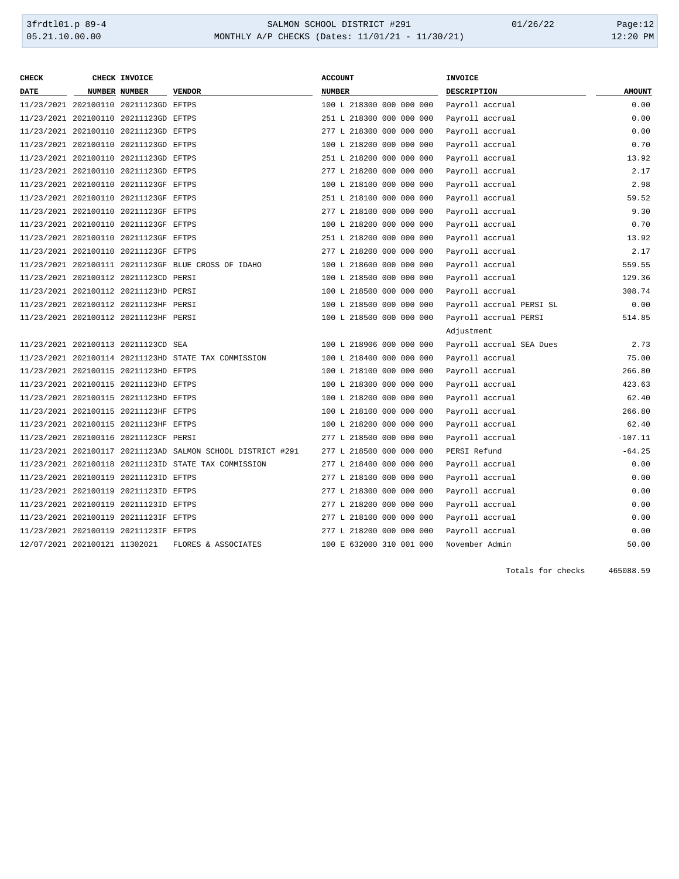| <b>CHECK</b>                  | CHECK INVOICE                         |                                                             | <b>ACCOUNT</b>           | <b>INVOICE</b>           |               |
|-------------------------------|---------------------------------------|-------------------------------------------------------------|--------------------------|--------------------------|---------------|
| <b>DATE</b>                   | NUMBER NUMBER                         | <b>VENDOR</b>                                               | <b>NUMBER</b>            | <b>DESCRIPTION</b>       | <b>AMOUNT</b> |
|                               | 11/23/2021 202100110 20211123GD EFTPS |                                                             | 100 L 218300 000 000 000 | Payroll accrual          | 0.00          |
|                               | 11/23/2021 202100110 20211123GD EFTPS |                                                             | 251 L 218300 000 000 000 | Payroll accrual          | 0.00          |
|                               | 11/23/2021 202100110 20211123GD EFTPS |                                                             | 277 L 218300 000 000 000 | Payroll accrual          | 0.00          |
|                               | 11/23/2021 202100110 20211123GD EFTPS |                                                             | 100 L 218200 000 000 000 | Payroll accrual          | 0.70          |
|                               | 11/23/2021 202100110 20211123GD EFTPS |                                                             | 251 L 218200 000 000 000 | Payroll accrual          | 13.92         |
|                               | 11/23/2021 202100110 20211123GD EFTPS |                                                             | 277 L 218200 000 000 000 | Payroll accrual          | 2.17          |
|                               | 11/23/2021 202100110 20211123GF EFTPS |                                                             | 100 L 218100 000 000 000 | Payroll accrual          | 2.98          |
|                               | 11/23/2021 202100110 20211123GF EFTPS |                                                             | 251 L 218100 000 000 000 | Payroll accrual          | 59.52         |
|                               | 11/23/2021 202100110 20211123GF EFTPS |                                                             | 277 L 218100 000 000 000 | Payroll accrual          | 9.30          |
|                               | 11/23/2021 202100110 20211123GF EFTPS |                                                             | 100 L 218200 000 000 000 | Payroll accrual          | 0.70          |
|                               | 11/23/2021 202100110 20211123GF EFTPS |                                                             | 251 L 218200 000 000 000 | Payroll accrual          | 13.92         |
|                               | 11/23/2021 202100110 20211123GF EFTPS |                                                             | 277 L 218200 000 000 000 | Payroll accrual          | 2.17          |
|                               |                                       | 11/23/2021 202100111 20211123GF BLUE CROSS OF IDAHO         | 100 L 218600 000 000 000 | Payroll accrual          | 559.55        |
|                               | 11/23/2021 202100112 20211123CD PERSI |                                                             | 100 L 218500 000 000 000 | Payroll accrual          | 129.36        |
|                               | 11/23/2021 202100112 20211123HD PERSI |                                                             | 100 L 218500 000 000 000 | Payroll accrual          | 308.74        |
|                               | 11/23/2021 202100112 20211123HF PERSI |                                                             | 100 L 218500 000 000 000 | Payroll accrual PERSI SL | 0.00          |
|                               | 11/23/2021 202100112 20211123HF PERSI |                                                             | 100 L 218500 000 000 000 | Payroll accrual PERSI    | 514.85        |
|                               |                                       |                                                             |                          | Adjustment               |               |
|                               | 11/23/2021 202100113 20211123CD SEA   |                                                             | 100 L 218906 000 000 000 | Payroll accrual SEA Dues | 2.73          |
|                               |                                       | 11/23/2021 202100114 20211123HD STATE TAX COMMISSION        | 100 L 218400 000 000 000 | Payroll accrual          | 75.00         |
|                               | 11/23/2021 202100115 20211123HD EFTPS |                                                             | 100 L 218100 000 000 000 | Payroll accrual          | 266.80        |
|                               | 11/23/2021 202100115 20211123HD EFTPS |                                                             | 100 L 218300 000 000 000 | Payroll accrual          | 423.63        |
|                               | 11/23/2021 202100115 20211123HD EFTPS |                                                             | 100 L 218200 000 000 000 | Payroll accrual          | 62.40         |
|                               | 11/23/2021 202100115 20211123HF EFTPS |                                                             | 100 L 218100 000 000 000 | Payroll accrual          | 266.80        |
|                               | 11/23/2021 202100115 20211123HF EFTPS |                                                             | 100 L 218200 000 000 000 | Payroll accrual          | 62.40         |
|                               | 11/23/2021 202100116 20211123CF PERSI |                                                             | 277 L 218500 000 000 000 | Payroll accrual          | $-107.11$     |
|                               |                                       | 11/23/2021 202100117 20211123AD SALMON SCHOOL DISTRICT #291 | 277 L 218500 000 000 000 | PERSI Refund             | $-64.25$      |
|                               |                                       | 11/23/2021 202100118 20211123ID STATE TAX COMMISSION        | 277 L 218400 000 000 000 | Payroll accrual          | 0.00          |
|                               | 11/23/2021 202100119 20211123ID EFTPS |                                                             | 277 L 218100 000 000 000 | Payroll accrual          | 0.00          |
|                               | 11/23/2021 202100119 20211123ID EFTPS |                                                             | 277 L 218300 000 000 000 | Payroll accrual          | 0.00          |
|                               | 11/23/2021 202100119 20211123ID EFTPS |                                                             | 277 L 218200 000 000 000 | Payroll accrual          | 0.00          |
|                               | 11/23/2021 202100119 20211123IF EFTPS |                                                             | 277 L 218100 000 000 000 | Payroll accrual          | 0.00          |
|                               | 11/23/2021 202100119 20211123IF EFTPS |                                                             | 277 L 218200 000 000 000 | Payroll accrual          | 0.00          |
| 12/07/2021 202100121 11302021 |                                       | FLORES & ASSOCIATES                                         | 100 E 632000 310 001 000 | November Admin           | 50.00         |

Totals for checks 465088.59